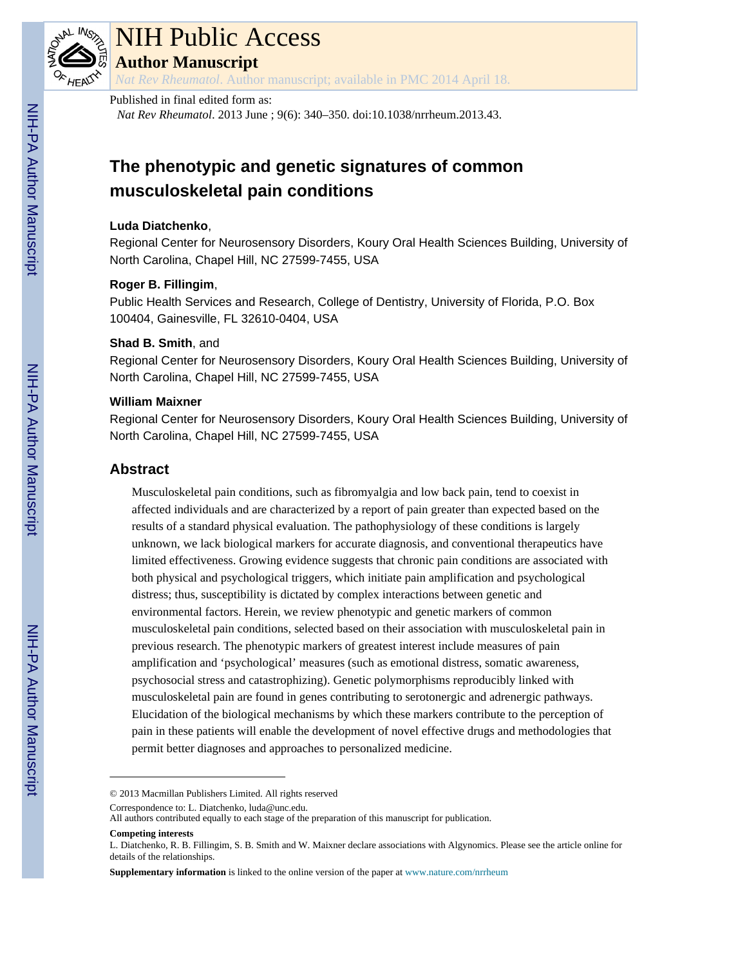

# NIH Public Access

**Author Manuscript**

*Nat Rev Rheumatol*. Author manuscript; available in PMC 2014 April 18.

## Published in final edited form as:

*Nat Rev Rheumatol*. 2013 June ; 9(6): 340–350. doi:10.1038/nrrheum.2013.43.

## **The phenotypic and genetic signatures of common musculoskeletal pain conditions**

#### **Luda Diatchenko**,

Regional Center for Neurosensory Disorders, Koury Oral Health Sciences Building, University of North Carolina, Chapel Hill, NC 27599-7455, USA

#### **Roger B. Fillingim**,

Public Health Services and Research, College of Dentistry, University of Florida, P.O. Box 100404, Gainesville, FL 32610-0404, USA

#### **Shad B. Smith**, and

Regional Center for Neurosensory Disorders, Koury Oral Health Sciences Building, University of North Carolina, Chapel Hill, NC 27599-7455, USA

### **William Maixner**

Regional Center for Neurosensory Disorders, Koury Oral Health Sciences Building, University of North Carolina, Chapel Hill, NC 27599-7455, USA

## **Abstract**

Musculoskeletal pain conditions, such as fibromyalgia and low back pain, tend to coexist in affected individuals and are characterized by a report of pain greater than expected based on the results of a standard physical evaluation. The pathophysiology of these conditions is largely unknown, we lack biological markers for accurate diagnosis, and conventional therapeutics have limited effectiveness. Growing evidence suggests that chronic pain conditions are associated with both physical and psychological triggers, which initiate pain amplification and psychological distress; thus, susceptibility is dictated by complex interactions between genetic and environmental factors. Herein, we review phenotypic and genetic markers of common musculoskeletal pain conditions, selected based on their association with musculoskeletal pain in previous research. The phenotypic markers of greatest interest include measures of pain amplification and 'psychological' measures (such as emotional distress, somatic awareness, psychosocial stress and catastrophizing). Genetic polymorphisms reproducibly linked with musculoskeletal pain are found in genes contributing to serotonergic and adrenergic pathways. Elucidation of the biological mechanisms by which these markers contribute to the perception of pain in these patients will enable the development of novel effective drugs and methodologies that permit better diagnoses and approaches to personalized medicine.

Correspondence to: L. Diatchenko, luda@unc.edu.

<sup>© 2013</sup> Macmillan Publishers Limited. All rights reserved

All authors contributed equally to each stage of the preparation of this manuscript for publication.

**Competing interests**

L. Diatchenko, R. B. Fillingim, S. B. Smith and W. Maixner declare associations with Algynomics. Please see the article online for details of the relationships.

**Supplementary information** is linked to the online version of the paper at [www.nature.com/nrrheum](http://www.nature.com/nrrheum)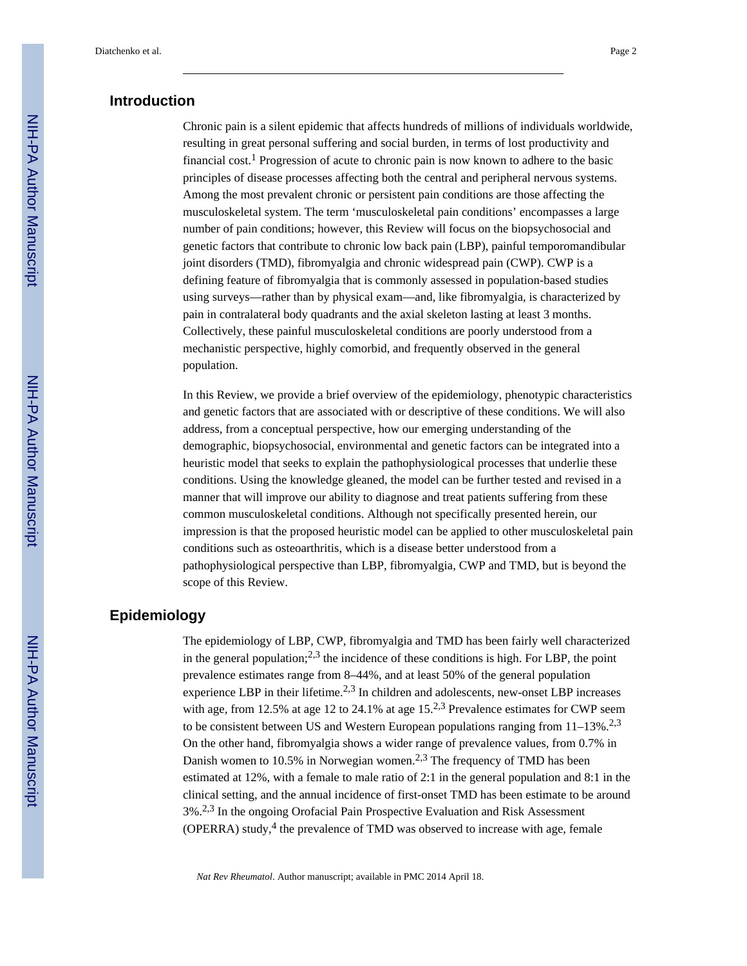## **Introduction**

Chronic pain is a silent epidemic that affects hundreds of millions of individuals worldwide, resulting in great personal suffering and social burden, in terms of lost productivity and financial cost.<sup>1</sup> Progression of acute to chronic pain is now known to adhere to the basic principles of disease processes affecting both the central and peripheral nervous systems. Among the most prevalent chronic or persistent pain conditions are those affecting the musculoskeletal system. The term 'musculoskeletal pain conditions' encompasses a large number of pain conditions; however, this Review will focus on the biopsychosocial and genetic factors that contribute to chronic low back pain (LBP), painful temporomandibular joint disorders (TMD), fibromyalgia and chronic widespread pain (CWP). CWP is a defining feature of fibromyalgia that is commonly assessed in population-based studies using surveys—rather than by physical exam—and, like fibromyalgia, is characterized by pain in contralateral body quadrants and the axial skeleton lasting at least 3 months. Collectively, these painful musculoskeletal conditions are poorly understood from a mechanistic perspective, highly comorbid, and frequently observed in the general population.

In this Review, we provide a brief overview of the epidemiology, phenotypic characteristics and genetic factors that are associated with or descriptive of these conditions. We will also address, from a conceptual perspective, how our emerging understanding of the demographic, biopsychosocial, environmental and genetic factors can be integrated into a heuristic model that seeks to explain the pathophysiological processes that underlie these conditions. Using the knowledge gleaned, the model can be further tested and revised in a manner that will improve our ability to diagnose and treat patients suffering from these common musculoskeletal conditions. Although not specifically presented herein, our impression is that the proposed heuristic model can be applied to other musculoskeletal pain conditions such as osteoarthritis, which is a disease better understood from a pathophysiological perspective than LBP, fibromyalgia, CWP and TMD, but is beyond the scope of this Review.

## **Epidemiology**

The epidemiology of LBP, CWP, fibromyalgia and TMD has been fairly well characterized in the general population;<sup>2,3</sup> the incidence of these conditions is high. For LBP, the point prevalence estimates range from 8–44%, and at least 50% of the general population experience LBP in their lifetime.<sup>2,3</sup> In children and adolescents, new-onset LBP increases with age, from 12.5% at age 12 to 24.1% at age 15.<sup>2,3</sup> Prevalence estimates for CWP seem to be consistent between US and Western European populations ranging from  $11-13\%$ .<sup>2,3</sup> On the other hand, fibromyalgia shows a wider range of prevalence values, from 0.7% in Danish women to 10.5% in Norwegian women.<sup>2,3</sup> The frequency of TMD has been estimated at 12%, with a female to male ratio of 2:1 in the general population and 8:1 in the clinical setting, and the annual incidence of first-onset TMD has been estimate to be around 3%.2,3 In the ongoing Orofacial Pain Prospective Evaluation and Risk Assessment (OPERRA) study, $4$  the prevalence of TMD was observed to increase with age, female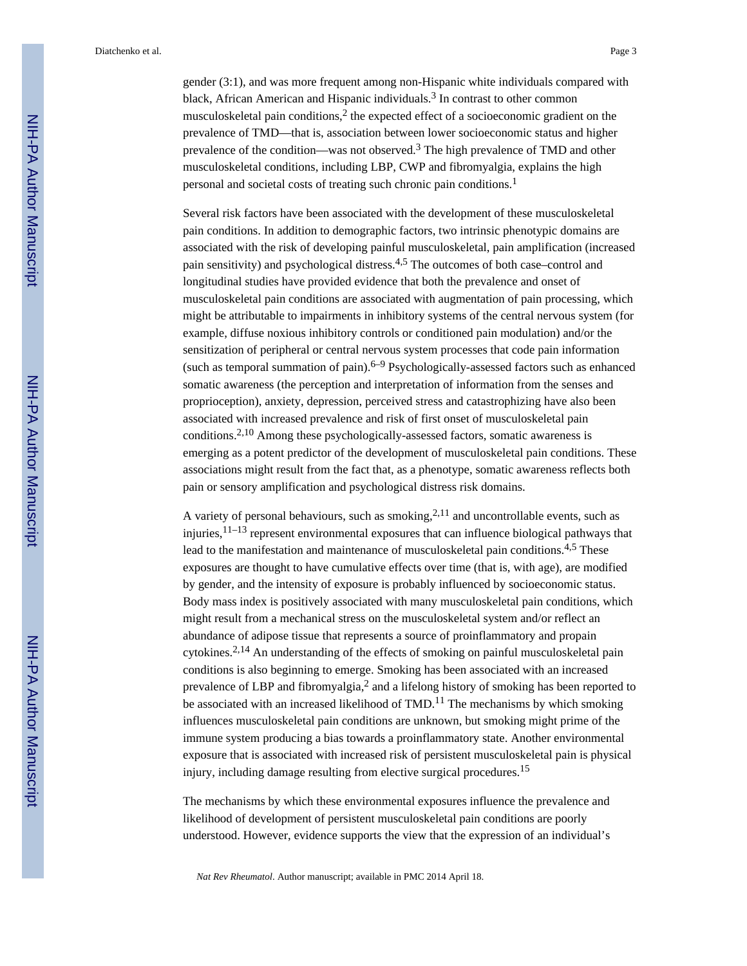Diatchenko et al. Page 3

gender (3:1), and was more frequent among non-Hispanic white individuals compared with black, African American and Hispanic individuals.<sup>3</sup> In contrast to other common musculoskeletal pain conditions,<sup>2</sup> the expected effect of a socioeconomic gradient on the prevalence of TMD—that is, association between lower socioeconomic status and higher prevalence of the condition—was not observed.<sup>3</sup> The high prevalence of TMD and other musculoskeletal conditions, including LBP, CWP and fibromyalgia, explains the high personal and societal costs of treating such chronic pain conditions.<sup>1</sup>

Several risk factors have been associated with the development of these musculoskeletal pain conditions. In addition to demographic factors, two intrinsic phenotypic domains are associated with the risk of developing painful musculoskeletal, pain amplification (increased pain sensitivity) and psychological distress.4,5 The outcomes of both case–control and longitudinal studies have provided evidence that both the prevalence and onset of musculoskeletal pain conditions are associated with augmentation of pain processing, which might be attributable to impairments in inhibitory systems of the central nervous system (for example, diffuse noxious inhibitory controls or conditioned pain modulation) and/or the sensitization of peripheral or central nervous system processes that code pain information (such as temporal summation of pain). $6-9$  Psychologically-assessed factors such as enhanced somatic awareness (the perception and interpretation of information from the senses and proprioception), anxiety, depression, perceived stress and catastrophizing have also been associated with increased prevalence and risk of first onset of musculoskeletal pain conditions.2,10 Among these psychologically-assessed factors, somatic awareness is emerging as a potent predictor of the development of musculoskeletal pain conditions. These associations might result from the fact that, as a phenotype, somatic awareness reflects both pain or sensory amplification and psychological distress risk domains.

A variety of personal behaviours, such as smoking,  $2,11$  and uncontrollable events, such as injuries,  $11-13$  represent environmental exposures that can influence biological pathways that lead to the manifestation and maintenance of musculoskeletal pain conditions.<sup>4,5</sup> These exposures are thought to have cumulative effects over time (that is, with age), are modified by gender, and the intensity of exposure is probably influenced by socioeconomic status. Body mass index is positively associated with many musculoskeletal pain conditions, which might result from a mechanical stress on the musculoskeletal system and/or reflect an abundance of adipose tissue that represents a source of proinflammatory and propain cytokines.2,14 An understanding of the effects of smoking on painful musculoskeletal pain conditions is also beginning to emerge. Smoking has been associated with an increased prevalence of LBP and fibromyalgia,<sup>2</sup> and a lifelong history of smoking has been reported to be associated with an increased likelihood of  $TMD<sup>11</sup>$ . The mechanisms by which smoking influences musculoskeletal pain conditions are unknown, but smoking might prime of the immune system producing a bias towards a proinflammatory state. Another environmental exposure that is associated with increased risk of persistent musculoskeletal pain is physical injury, including damage resulting from elective surgical procedures.<sup>15</sup>

The mechanisms by which these environmental exposures influence the prevalence and likelihood of development of persistent musculoskeletal pain conditions are poorly understood. However, evidence supports the view that the expression of an individual's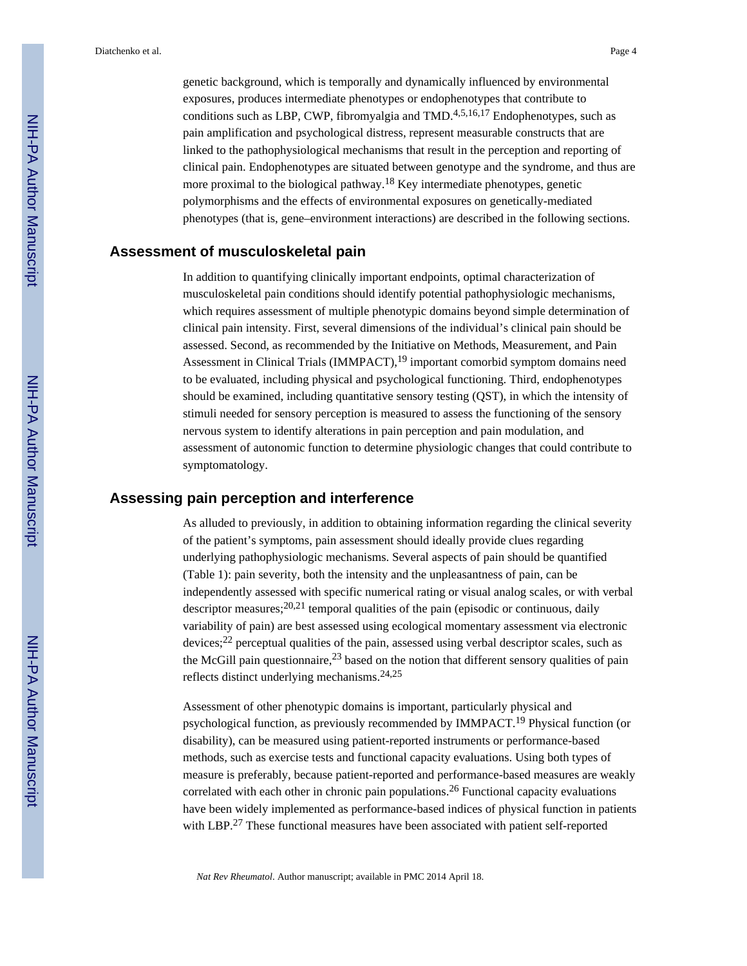genetic background, which is temporally and dynamically influenced by environmental exposures, produces intermediate phenotypes or endophenotypes that contribute to conditions such as LBP, CWP, fibromyalgia and  $TMD<sup>4,5,16,17</sup>$  Endophenotypes, such as pain amplification and psychological distress, represent measurable constructs that are linked to the pathophysiological mechanisms that result in the perception and reporting of clinical pain. Endophenotypes are situated between genotype and the syndrome, and thus are more proximal to the biological pathway.<sup>18</sup> Key intermediate phenotypes, genetic polymorphisms and the effects of environmental exposures on genetically-mediated phenotypes (that is, gene–environment interactions) are described in the following sections.

#### **Assessment of musculoskeletal pain**

In addition to quantifying clinically important endpoints, optimal characterization of musculoskeletal pain conditions should identify potential pathophysiologic mechanisms, which requires assessment of multiple phenotypic domains beyond simple determination of clinical pain intensity. First, several dimensions of the individual's clinical pain should be assessed. Second, as recommended by the Initiative on Methods, Measurement, and Pain Assessment in Clinical Trials (IMMPACT),<sup>19</sup> important comorbid symptom domains need to be evaluated, including physical and psychological functioning. Third, endophenotypes should be examined, including quantitative sensory testing (QST), in which the intensity of stimuli needed for sensory perception is measured to assess the functioning of the sensory nervous system to identify alterations in pain perception and pain modulation, and assessment of autonomic function to determine physiologic changes that could contribute to symptomatology.

#### **Assessing pain perception and interference**

As alluded to previously, in addition to obtaining information regarding the clinical severity of the patient's symptoms, pain assessment should ideally provide clues regarding underlying pathophysiologic mechanisms. Several aspects of pain should be quantified (Table 1): pain severity, both the intensity and the unpleasantness of pain, can be independently assessed with specific numerical rating or visual analog scales, or with verbal descriptor measures; $^{20,21}$  temporal qualities of the pain (episodic or continuous, daily variability of pain) are best assessed using ecological momentary assessment via electronic devices;22 perceptual qualities of the pain, assessed using verbal descriptor scales, such as the McGill pain questionnaire,  $2<sup>3</sup>$  based on the notion that different sensory qualities of pain reflects distinct underlying mechanisms.24,25

Assessment of other phenotypic domains is important, particularly physical and psychological function, as previously recommended by IMMPACT.19 Physical function (or disability), can be measured using patient-reported instruments or performance-based methods, such as exercise tests and functional capacity evaluations. Using both types of measure is preferably, because patient-reported and performance-based measures are weakly correlated with each other in chronic pain populations.<sup>26</sup> Functional capacity evaluations have been widely implemented as performance-based indices of physical function in patients with LBP.<sup>27</sup> These functional measures have been associated with patient self-reported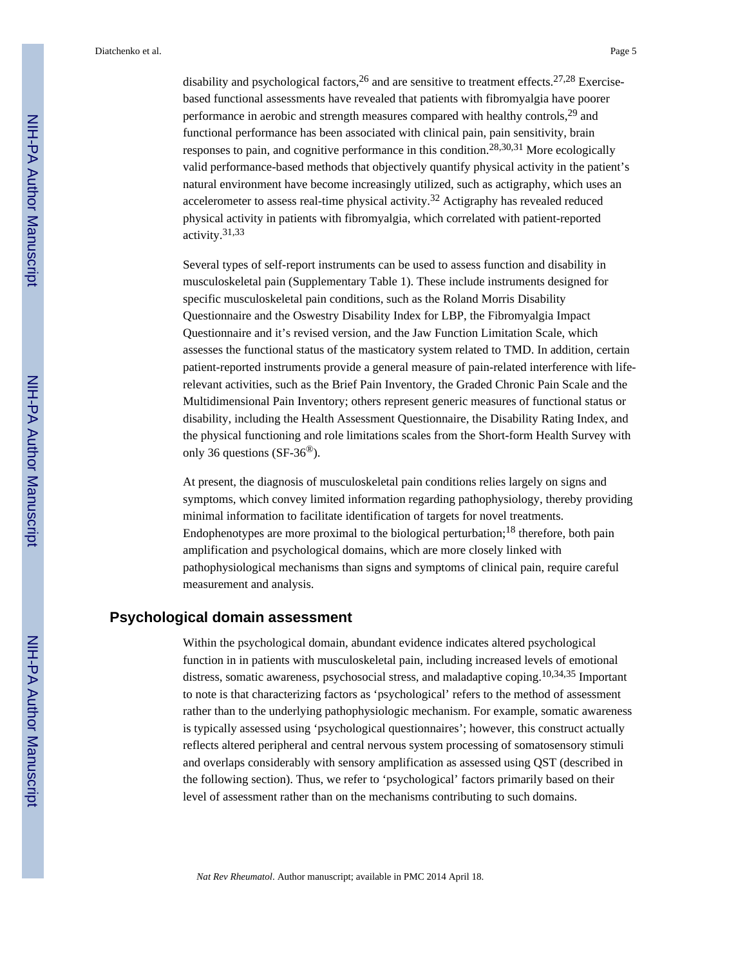disability and psychological factors,  $^{26}$  and are sensitive to treatment effects.  $^{27,28}$  Exercisebased functional assessments have revealed that patients with fibromyalgia have poorer performance in aerobic and strength measures compared with healthy controls,29 and functional performance has been associated with clinical pain, pain sensitivity, brain responses to pain, and cognitive performance in this condition.28,30,31 More ecologically valid performance-based methods that objectively quantify physical activity in the patient's natural environment have become increasingly utilized, such as actigraphy, which uses an accelerometer to assess real-time physical activity.<sup>32</sup> Actigraphy has revealed reduced physical activity in patients with fibromyalgia, which correlated with patient-reported activity.31,33

Several types of self-report instruments can be used to assess function and disability in musculoskeletal pain (Supplementary Table 1). These include instruments designed for specific musculoskeletal pain conditions, such as the Roland Morris Disability Questionnaire and the Oswestry Disability Index for LBP, the Fibromyalgia Impact Questionnaire and it's revised version, and the Jaw Function Limitation Scale, which assesses the functional status of the masticatory system related to TMD. In addition, certain patient-reported instruments provide a general measure of pain-related interference with liferelevant activities, such as the Brief Pain Inventory, the Graded Chronic Pain Scale and the Multidimensional Pain Inventory; others represent generic measures of functional status or disability, including the Health Assessment Questionnaire, the Disability Rating Index, and the physical functioning and role limitations scales from the Short-form Health Survey with only 36 questions (SF-36®).

At present, the diagnosis of musculoskeletal pain conditions relies largely on signs and symptoms, which convey limited information regarding pathophysiology, thereby providing minimal information to facilitate identification of targets for novel treatments. Endophenotypes are more proximal to the biological perturbation;<sup>18</sup> therefore, both pain amplification and psychological domains, which are more closely linked with pathophysiological mechanisms than signs and symptoms of clinical pain, require careful measurement and analysis.

#### **Psychological domain assessment**

Within the psychological domain, abundant evidence indicates altered psychological function in in patients with musculoskeletal pain, including increased levels of emotional distress, somatic awareness, psychosocial stress, and maladaptive coping.10,34,35 Important to note is that characterizing factors as 'psychological' refers to the method of assessment rather than to the underlying pathophysiologic mechanism. For example, somatic awareness is typically assessed using 'psychological questionnaires'; however, this construct actually reflects altered peripheral and central nervous system processing of somatosensory stimuli and overlaps considerably with sensory amplification as assessed using QST (described in the following section). Thus, we refer to 'psychological' factors primarily based on their level of assessment rather than on the mechanisms contributing to such domains.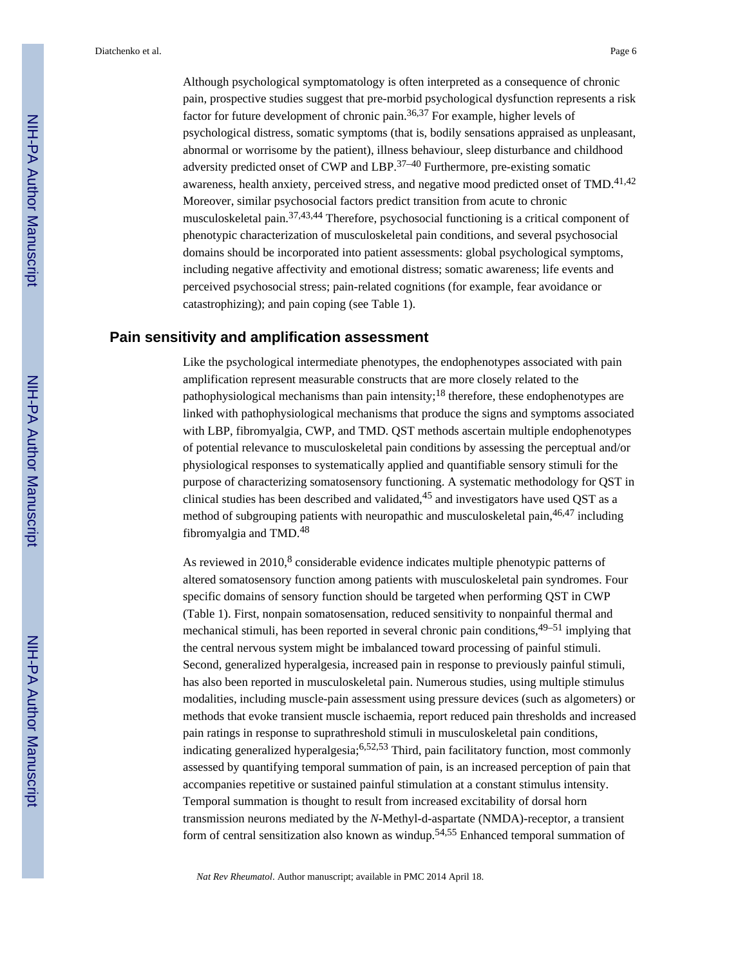Although psychological symptomatology is often interpreted as a consequence of chronic pain, prospective studies suggest that pre-morbid psychological dysfunction represents a risk factor for future development of chronic pain.36,37 For example, higher levels of psychological distress, somatic symptoms (that is, bodily sensations appraised as unpleasant, abnormal or worrisome by the patient), illness behaviour, sleep disturbance and childhood adversity predicted onset of CWP and LBP.37–40 Furthermore, pre-existing somatic awareness, health anxiety, perceived stress, and negative mood predicted onset of TMD.<sup>41,42</sup> Moreover, similar psychosocial factors predict transition from acute to chronic musculoskeletal pain.37,43,44 Therefore, psychosocial functioning is a critical component of phenotypic characterization of musculoskeletal pain conditions, and several psychosocial domains should be incorporated into patient assessments: global psychological symptoms, including negative affectivity and emotional distress; somatic awareness; life events and perceived psychosocial stress; pain-related cognitions (for example, fear avoidance or catastrophizing); and pain coping (see Table 1).

#### **Pain sensitivity and amplification assessment**

Like the psychological intermediate phenotypes, the endophenotypes associated with pain amplification represent measurable constructs that are more closely related to the pathophysiological mechanisms than pain intensity;<sup>18</sup> therefore, these endophenotypes are linked with pathophysiological mechanisms that produce the signs and symptoms associated with LBP, fibromyalgia, CWP, and TMD. QST methods ascertain multiple endophenotypes of potential relevance to musculoskeletal pain conditions by assessing the perceptual and/or physiological responses to systematically applied and quantifiable sensory stimuli for the purpose of characterizing somatosensory functioning. A systematic methodology for QST in clinical studies has been described and validated,  $45$  and investigators have used OST as a method of subgrouping patients with neuropathic and musculoskeletal pain, <sup>46,47</sup> including fibromyalgia and TMD.<sup>48</sup>

As reviewed in  $2010<sup>8</sup>$  considerable evidence indicates multiple phenotypic patterns of altered somatosensory function among patients with musculoskeletal pain syndromes. Four specific domains of sensory function should be targeted when performing QST in CWP (Table 1). First, nonpain somatosensation, reduced sensitivity to nonpainful thermal and mechanical stimuli, has been reported in several chronic pain conditions,  $49-51$  implying that the central nervous system might be imbalanced toward processing of painful stimuli. Second, generalized hyperalgesia, increased pain in response to previously painful stimuli, has also been reported in musculoskeletal pain. Numerous studies, using multiple stimulus modalities, including muscle-pain assessment using pressure devices (such as algometers) or methods that evoke transient muscle ischaemia, report reduced pain thresholds and increased pain ratings in response to suprathreshold stimuli in musculoskeletal pain conditions, indicating generalized hyperalgesia;6,52,53 Third, pain facilitatory function, most commonly assessed by quantifying temporal summation of pain, is an increased perception of pain that accompanies repetitive or sustained painful stimulation at a constant stimulus intensity. Temporal summation is thought to result from increased excitability of dorsal horn transmission neurons mediated by the *N*-Methyl-d-aspartate (NMDA)-receptor, a transient form of central sensitization also known as windup.54,55 Enhanced temporal summation of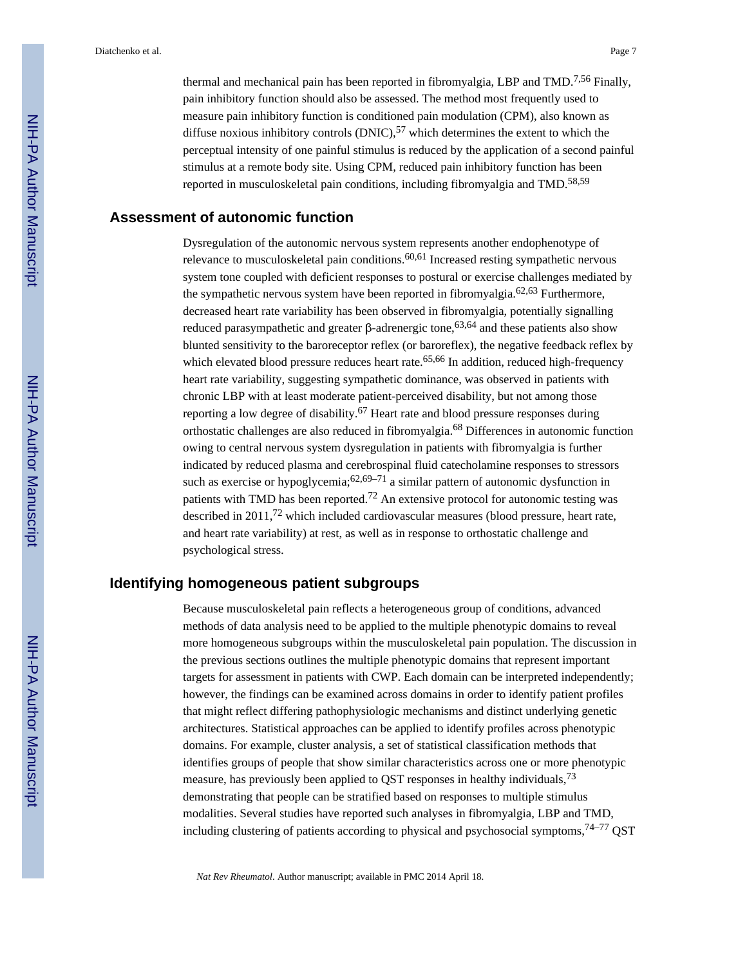thermal and mechanical pain has been reported in fibromyalgia, LBP and TMD.<sup>7,56</sup> Finally, pain inhibitory function should also be assessed. The method most frequently used to measure pain inhibitory function is conditioned pain modulation (CPM), also known as diffuse noxious inhibitory controls  $(DNIC)$ ,  $57$  which determines the extent to which the perceptual intensity of one painful stimulus is reduced by the application of a second painful stimulus at a remote body site. Using CPM, reduced pain inhibitory function has been reported in musculoskeletal pain conditions, including fibromyalgia and TMD.<sup>58,59</sup>

## **Assessment of autonomic function**

Dysregulation of the autonomic nervous system represents another endophenotype of relevance to musculoskeletal pain conditions.<sup>60,61</sup> Increased resting sympathetic nervous system tone coupled with deficient responses to postural or exercise challenges mediated by the sympathetic nervous system have been reported in fibromyalgia.62,63 Furthermore, decreased heart rate variability has been observed in fibromyalgia, potentially signalling reduced parasympathetic and greater β-adrenergic tone,<sup>63,64</sup> and these patients also show blunted sensitivity to the baroreceptor reflex (or baroreflex), the negative feedback reflex by which elevated blood pressure reduces heart rate.<sup>65,66</sup> In addition, reduced high-frequency heart rate variability, suggesting sympathetic dominance, was observed in patients with chronic LBP with at least moderate patient-perceived disability, but not among those reporting a low degree of disability.<sup>67</sup> Heart rate and blood pressure responses during orthostatic challenges are also reduced in fibromyalgia.68 Differences in autonomic function owing to central nervous system dysregulation in patients with fibromyalgia is further indicated by reduced plasma and cerebrospinal fluid catecholamine responses to stressors such as exercise or hypoglycemia;  $62,69-71$  a similar pattern of autonomic dysfunction in patients with TMD has been reported.<sup>72</sup> An extensive protocol for autonomic testing was described in 2011,72 which included cardiovascular measures (blood pressure, heart rate, and heart rate variability) at rest, as well as in response to orthostatic challenge and psychological stress.

## **Identifying homogeneous patient subgroups**

Because musculoskeletal pain reflects a heterogeneous group of conditions, advanced methods of data analysis need to be applied to the multiple phenotypic domains to reveal more homogeneous subgroups within the musculoskeletal pain population. The discussion in the previous sections outlines the multiple phenotypic domains that represent important targets for assessment in patients with CWP. Each domain can be interpreted independently; however, the findings can be examined across domains in order to identify patient profiles that might reflect differing pathophysiologic mechanisms and distinct underlying genetic architectures. Statistical approaches can be applied to identify profiles across phenotypic domains. For example, cluster analysis, a set of statistical classification methods that identifies groups of people that show similar characteristics across one or more phenotypic measure, has previously been applied to QST responses in healthy individuals,<sup>73</sup> demonstrating that people can be stratified based on responses to multiple stimulus modalities. Several studies have reported such analyses in fibromyalgia, LBP and TMD, including clustering of patients according to physical and psychosocial symptoms,  $74-77$  QST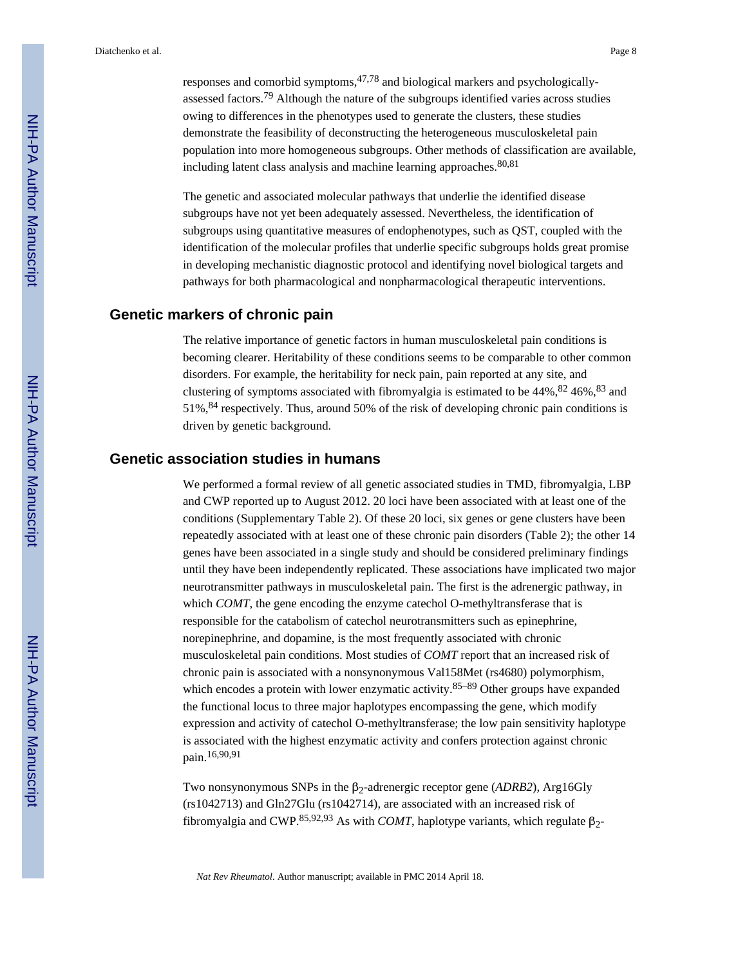responses and comorbid symptoms, $47,78$  and biological markers and psychologicallyassessed factors.<sup>79</sup> Although the nature of the subgroups identified varies across studies owing to differences in the phenotypes used to generate the clusters, these studies demonstrate the feasibility of deconstructing the heterogeneous musculoskeletal pain population into more homogeneous subgroups. Other methods of classification are available, including latent class analysis and machine learning approaches.  $80,81$ 

The genetic and associated molecular pathways that underlie the identified disease subgroups have not yet been adequately assessed. Nevertheless, the identification of subgroups using quantitative measures of endophenotypes, such as QST, coupled with the identification of the molecular profiles that underlie specific subgroups holds great promise in developing mechanistic diagnostic protocol and identifying novel biological targets and pathways for both pharmacological and nonpharmacological therapeutic interventions.

#### **Genetic markers of chronic pain**

The relative importance of genetic factors in human musculoskeletal pain conditions is becoming clearer. Heritability of these conditions seems to be comparable to other common disorders. For example, the heritability for neck pain, pain reported at any site, and clustering of symptoms associated with fibromyalgia is estimated to be  $44\%$ ,  $82\,46\%$ ,  $83\,$  and 51%,84 respectively. Thus, around 50% of the risk of developing chronic pain conditions is driven by genetic background.

## **Genetic association studies in humans**

We performed a formal review of all genetic associated studies in TMD, fibromyalgia, LBP and CWP reported up to August 2012. 20 loci have been associated with at least one of the conditions (Supplementary Table 2). Of these 20 loci, six genes or gene clusters have been repeatedly associated with at least one of these chronic pain disorders (Table 2); the other 14 genes have been associated in a single study and should be considered preliminary findings until they have been independently replicated. These associations have implicated two major neurotransmitter pathways in musculoskeletal pain. The first is the adrenergic pathway, in which *COMT*, the gene encoding the enzyme catechol O-methyltransferase that is responsible for the catabolism of catechol neurotransmitters such as epinephrine, norepinephrine, and dopamine, is the most frequently associated with chronic musculoskeletal pain conditions. Most studies of *COMT* report that an increased risk of chronic pain is associated with a nonsynonymous Val158Met (rs4680) polymorphism, which encodes a protein with lower enzymatic activity.<sup>85–89</sup> Other groups have expanded the functional locus to three major haplotypes encompassing the gene, which modify expression and activity of catechol O-methyltransferase; the low pain sensitivity haplotype is associated with the highest enzymatic activity and confers protection against chronic pain.16,90,91

Two nonsynonymous SNPs in the β<sub>2</sub>-adrenergic receptor gene (*ADRB2*), Arg16Gly (rs1042713) and Gln27Glu (rs1042714), are associated with an increased risk of fibromyalgia and CWP.<sup>85,92,93</sup> As with *COMT*, haplotype variants, which regulate β<sub>2</sub>-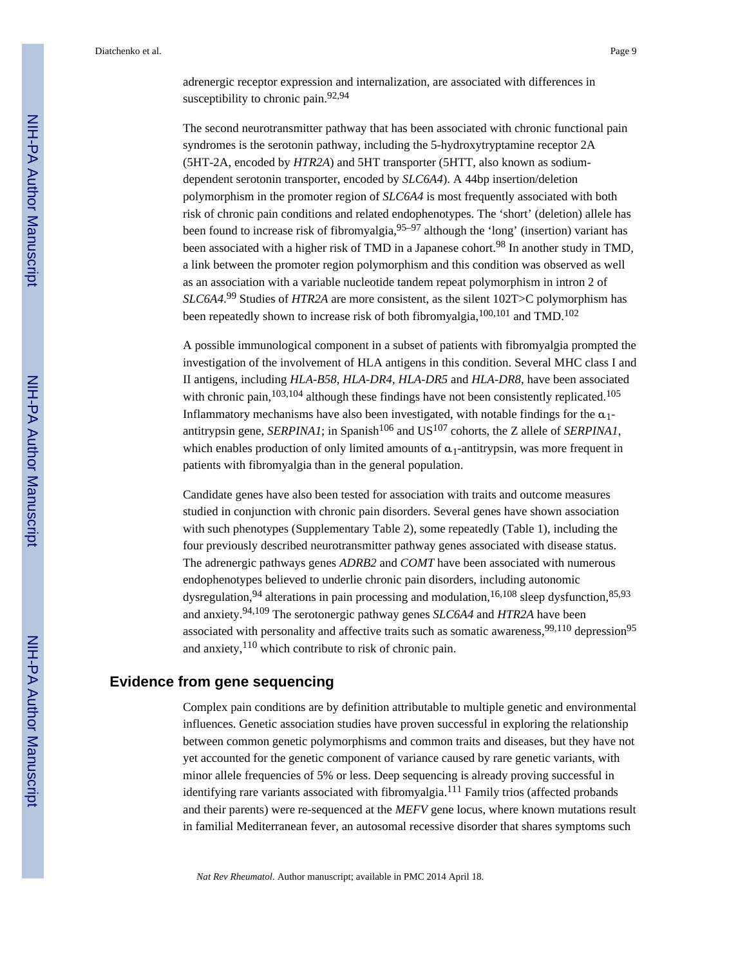The second neurotransmitter pathway that has been associated with chronic functional pain syndromes is the serotonin pathway, including the 5-hydroxytryptamine receptor 2A (5HT-2A, encoded by *HTR2A*) and 5HT transporter (5HTT, also known as sodiumdependent serotonin transporter, encoded by *SLC6A4*). A 44bp insertion/deletion polymorphism in the promoter region of *SLC6A4* is most frequently associated with both risk of chronic pain conditions and related endophenotypes. The 'short' (deletion) allele has been found to increase risk of fibromyalgia,  $95-97$  although the 'long' (insertion) variant has been associated with a higher risk of TMD in a Japanese cohort.<sup>98</sup> In another study in TMD, a link between the promoter region polymorphism and this condition was observed as well as an association with a variable nucleotide tandem repeat polymorphism in intron 2 of *SLC6A4*. <sup>99</sup> Studies of *HTR2A* are more consistent, as the silent 102T>C polymorphism has been repeatedly shown to increase risk of both fibromyalgia,<sup>100,101</sup> and TMD.<sup>102</sup>

A possible immunological component in a subset of patients with fibromyalgia prompted the investigation of the involvement of HLA antigens in this condition. Several MHC class I and II antigens, including *HLA-B58, HLA-DR4, HLA-DR5* and *HLA-DR8*, have been associated with chronic pain,  $103,104$  although these findings have not been consistently replicated.<sup>105</sup> Inflammatory mechanisms have also been investigated, with notable findings for the  $\alpha_1$ antitrypsin gene, *SERPINA1*; in Spanish<sup>106</sup> and US<sup>107</sup> cohorts, the Z allele of *SERPINA1*, which enables production of only limited amounts of  $\alpha_1$ -antitrypsin, was more frequent in patients with fibromyalgia than in the general population.

Candidate genes have also been tested for association with traits and outcome measures studied in conjunction with chronic pain disorders. Several genes have shown association with such phenotypes (Supplementary Table 2), some repeatedly (Table 1), including the four previously described neurotransmitter pathway genes associated with disease status. The adrenergic pathways genes *ADRB2* and *COMT* have been associated with numerous endophenotypes believed to underlie chronic pain disorders, including autonomic dysregulation, <sup>94</sup> alterations in pain processing and modulation, <sup>16,108</sup> sleep dysfunction, <sup>85,93</sup> and anxiety.94,109 The serotonergic pathway genes *SLC6A4* and *HTR2A* have been associated with personality and affective traits such as somatic awareness,  $99,110$  depression $95$ and anxiety,  $110$  which contribute to risk of chronic pain.

## **Evidence from gene sequencing**

Complex pain conditions are by definition attributable to multiple genetic and environmental influences. Genetic association studies have proven successful in exploring the relationship between common genetic polymorphisms and common traits and diseases, but they have not yet accounted for the genetic component of variance caused by rare genetic variants, with minor allele frequencies of 5% or less. Deep sequencing is already proving successful in identifying rare variants associated with fibromyalgia.<sup>111</sup> Family trios (affected probands and their parents) were re-sequenced at the *MEFV* gene locus, where known mutations result in familial Mediterranean fever, an autosomal recessive disorder that shares symptoms such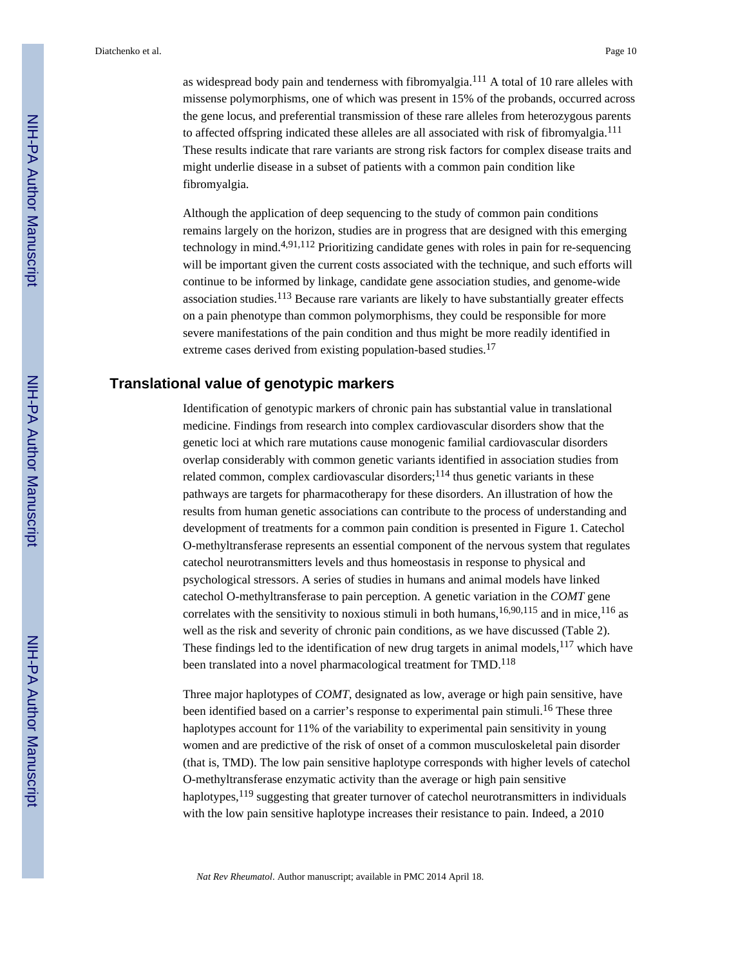as widespread body pain and tenderness with fibromyalgia.<sup>111</sup> A total of 10 rare alleles with missense polymorphisms, one of which was present in 15% of the probands, occurred across the gene locus, and preferential transmission of these rare alleles from heterozygous parents to affected offspring indicated these alleles are all associated with risk of fibromyalgia.<sup>111</sup> These results indicate that rare variants are strong risk factors for complex disease traits and might underlie disease in a subset of patients with a common pain condition like fibromyalgia.

Although the application of deep sequencing to the study of common pain conditions remains largely on the horizon, studies are in progress that are designed with this emerging technology in mind.4,91,112 Prioritizing candidate genes with roles in pain for re-sequencing will be important given the current costs associated with the technique, and such efforts will continue to be informed by linkage, candidate gene association studies, and genome-wide association studies.113 Because rare variants are likely to have substantially greater effects on a pain phenotype than common polymorphisms, they could be responsible for more severe manifestations of the pain condition and thus might be more readily identified in extreme cases derived from existing population-based studies.<sup>17</sup>

## **Translational value of genotypic markers**

Identification of genotypic markers of chronic pain has substantial value in translational medicine. Findings from research into complex cardiovascular disorders show that the genetic loci at which rare mutations cause monogenic familial cardiovascular disorders overlap considerably with common genetic variants identified in association studies from related common, complex cardiovascular disorders; $^{114}$  thus genetic variants in these pathways are targets for pharmacotherapy for these disorders. An illustration of how the results from human genetic associations can contribute to the process of understanding and development of treatments for a common pain condition is presented in Figure 1. Catechol O-methyltransferase represents an essential component of the nervous system that regulates catechol neurotransmitters levels and thus homeostasis in response to physical and psychological stressors. A series of studies in humans and animal models have linked catechol O-methyltransferase to pain perception. A genetic variation in the *COMT* gene correlates with the sensitivity to noxious stimuli in both humans,  $16,90,115$  and in mice,  $116$  as well as the risk and severity of chronic pain conditions, as we have discussed (Table 2). These findings led to the identification of new drug targets in animal models,  $117$  which have been translated into a novel pharmacological treatment for TMD.<sup>118</sup>

Three major haplotypes of *COMT*, designated as low, average or high pain sensitive, have been identified based on a carrier's response to experimental pain stimuli.<sup>16</sup> These three haplotypes account for 11% of the variability to experimental pain sensitivity in young women and are predictive of the risk of onset of a common musculoskeletal pain disorder (that is, TMD). The low pain sensitive haplotype corresponds with higher levels of catechol O-methyltransferase enzymatic activity than the average or high pain sensitive haplotypes,<sup>119</sup> suggesting that greater turnover of catechol neurotransmitters in individuals with the low pain sensitive haplotype increases their resistance to pain. Indeed, a 2010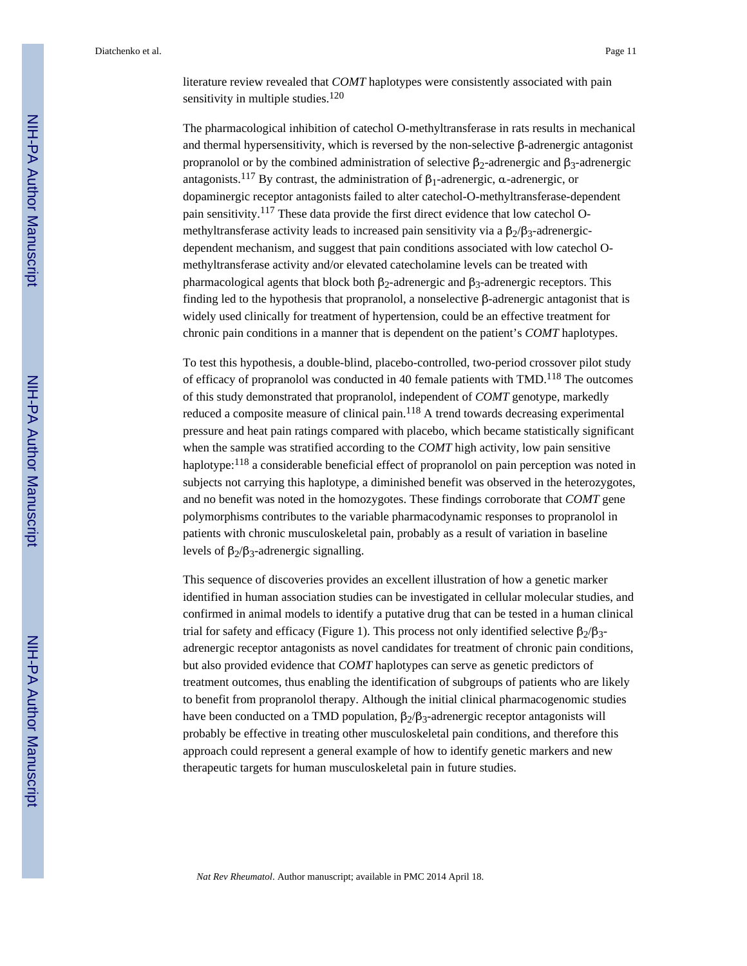literature review revealed that *COMT* haplotypes were consistently associated with pain sensitivity in multiple studies. $120$ 

The pharmacological inhibition of catechol O-methyltransferase in rats results in mechanical and thermal hypersensitivity, which is reversed by the non-selective β-adrenergic antagonist propranolol or by the combined administration of selective β<sub>2</sub>-adrenergic and β<sub>3</sub>-adrenergic antagonists.<sup>117</sup> By contrast, the administration of  $β_1$ -adrenergic, α-adrenergic, or dopaminergic receptor antagonists failed to alter catechol-O-methyltransferase-dependent pain sensitivity.117 These data provide the first direct evidence that low catechol Omethyltransferase activity leads to increased pain sensitivity via a  $\beta_2/\beta_3$ -adrenergicdependent mechanism, and suggest that pain conditions associated with low catechol Omethyltransferase activity and/or elevated catecholamine levels can be treated with pharmacological agents that block both  $β_2$ -adrenergic and  $β_3$ -adrenergic receptors. This finding led to the hypothesis that propranolol, a nonselective β-adrenergic antagonist that is widely used clinically for treatment of hypertension, could be an effective treatment for chronic pain conditions in a manner that is dependent on the patient's *COMT* haplotypes.

To test this hypothesis, a double-blind, placebo-controlled, two-period crossover pilot study of efficacy of propranolol was conducted in 40 female patients with  $TMD$ .<sup>118</sup> The outcomes of this study demonstrated that propranolol, independent of *COMT* genotype, markedly reduced a composite measure of clinical pain. $118$  A trend towards decreasing experimental pressure and heat pain ratings compared with placebo, which became statistically significant when the sample was stratified according to the *COMT* high activity, low pain sensitive haplotype:<sup>118</sup> a considerable beneficial effect of propranolol on pain perception was noted in subjects not carrying this haplotype, a diminished benefit was observed in the heterozygotes, and no benefit was noted in the homozygotes. These findings corroborate that *COMT* gene polymorphisms contributes to the variable pharmacodynamic responses to propranolol in patients with chronic musculoskeletal pain, probably as a result of variation in baseline levels of β $\frac{1}{2}$ /β<sub>3</sub>-adrenergic signalling.

This sequence of discoveries provides an excellent illustration of how a genetic marker identified in human association studies can be investigated in cellular molecular studies, and confirmed in animal models to identify a putative drug that can be tested in a human clinical trial for safety and efficacy (Figure 1). This process not only identified selective β $\frac{1}{2}$ /β<sub>3</sub>adrenergic receptor antagonists as novel candidates for treatment of chronic pain conditions, but also provided evidence that *COMT* haplotypes can serve as genetic predictors of treatment outcomes, thus enabling the identification of subgroups of patients who are likely to benefit from propranolol therapy. Although the initial clinical pharmacogenomic studies have been conducted on a TMD population,  $β_2/β_3$ -adrenergic receptor antagonists will probably be effective in treating other musculoskeletal pain conditions, and therefore this approach could represent a general example of how to identify genetic markers and new therapeutic targets for human musculoskeletal pain in future studies.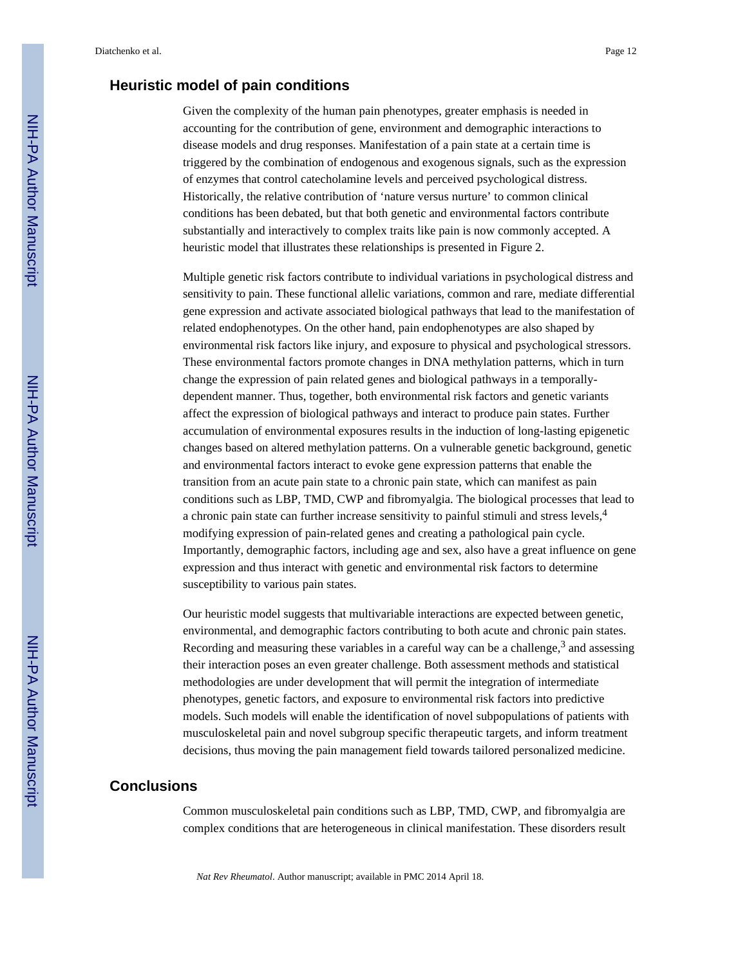#### **Heuristic model of pain conditions**

Given the complexity of the human pain phenotypes, greater emphasis is needed in accounting for the contribution of gene, environment and demographic interactions to disease models and drug responses. Manifestation of a pain state at a certain time is triggered by the combination of endogenous and exogenous signals, such as the expression of enzymes that control catecholamine levels and perceived psychological distress. Historically, the relative contribution of 'nature versus nurture' to common clinical conditions has been debated, but that both genetic and environmental factors contribute substantially and interactively to complex traits like pain is now commonly accepted. A heuristic model that illustrates these relationships is presented in Figure 2.

Multiple genetic risk factors contribute to individual variations in psychological distress and sensitivity to pain. These functional allelic variations, common and rare, mediate differential gene expression and activate associated biological pathways that lead to the manifestation of related endophenotypes. On the other hand, pain endophenotypes are also shaped by environmental risk factors like injury, and exposure to physical and psychological stressors. These environmental factors promote changes in DNA methylation patterns, which in turn change the expression of pain related genes and biological pathways in a temporallydependent manner. Thus, together, both environmental risk factors and genetic variants affect the expression of biological pathways and interact to produce pain states. Further accumulation of environmental exposures results in the induction of long-lasting epigenetic changes based on altered methylation patterns. On a vulnerable genetic background, genetic and environmental factors interact to evoke gene expression patterns that enable the transition from an acute pain state to a chronic pain state, which can manifest as pain conditions such as LBP, TMD, CWP and fibromyalgia. The biological processes that lead to a chronic pain state can further increase sensitivity to painful stimuli and stress levels,<sup>4</sup> modifying expression of pain-related genes and creating a pathological pain cycle. Importantly, demographic factors, including age and sex, also have a great influence on gene expression and thus interact with genetic and environmental risk factors to determine susceptibility to various pain states.

Our heuristic model suggests that multivariable interactions are expected between genetic, environmental, and demographic factors contributing to both acute and chronic pain states. Recording and measuring these variables in a careful way can be a challenge,  $3$  and assessing their interaction poses an even greater challenge. Both assessment methods and statistical methodologies are under development that will permit the integration of intermediate phenotypes, genetic factors, and exposure to environmental risk factors into predictive models. Such models will enable the identification of novel subpopulations of patients with musculoskeletal pain and novel subgroup specific therapeutic targets, and inform treatment decisions, thus moving the pain management field towards tailored personalized medicine.

#### **Conclusions**

Common musculoskeletal pain conditions such as LBP, TMD, CWP, and fibromyalgia are complex conditions that are heterogeneous in clinical manifestation. These disorders result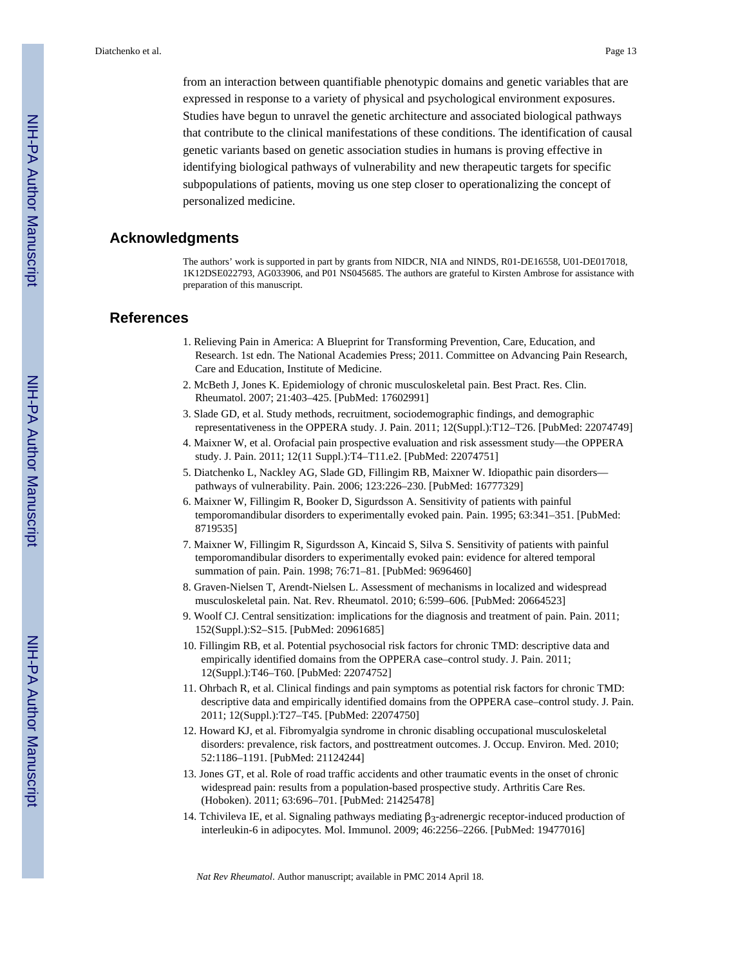from an interaction between quantifiable phenotypic domains and genetic variables that are expressed in response to a variety of physical and psychological environment exposures. Studies have begun to unravel the genetic architecture and associated biological pathways that contribute to the clinical manifestations of these conditions. The identification of causal genetic variants based on genetic association studies in humans is proving effective in identifying biological pathways of vulnerability and new therapeutic targets for specific subpopulations of patients, moving us one step closer to operationalizing the concept of personalized medicine.

## **Acknowledgments**

The authors' work is supported in part by grants from NIDCR, NIA and NINDS, R01-DE16558, U01-DE017018, 1K12DSE022793, AG033906, and P01 NS045685. The authors are grateful to Kirsten Ambrose for assistance with preparation of this manuscript.

#### **References**

- 1. Relieving Pain in America: A Blueprint for Transforming Prevention, Care, Education, and Research. 1st edn. The National Academies Press; 2011. Committee on Advancing Pain Research, Care and Education, Institute of Medicine.
- 2. McBeth J, Jones K. Epidemiology of chronic musculoskeletal pain. Best Pract. Res. Clin. Rheumatol. 2007; 21:403–425. [PubMed: 17602991]
- 3. Slade GD, et al. Study methods, recruitment, sociodemographic findings, and demographic representativeness in the OPPERA study. J. Pain. 2011; 12(Suppl.):T12–T26. [PubMed: 22074749]
- 4. Maixner W, et al. Orofacial pain prospective evaluation and risk assessment study—the OPPERA study. J. Pain. 2011; 12(11 Suppl.):T4–T11.e2. [PubMed: 22074751]
- 5. Diatchenko L, Nackley AG, Slade GD, Fillingim RB, Maixner W. Idiopathic pain disorders pathways of vulnerability. Pain. 2006; 123:226–230. [PubMed: 16777329]
- 6. Maixner W, Fillingim R, Booker D, Sigurdsson A. Sensitivity of patients with painful temporomandibular disorders to experimentally evoked pain. Pain. 1995; 63:341–351. [PubMed: 8719535]
- 7. Maixner W, Fillingim R, Sigurdsson A, Kincaid S, Silva S. Sensitivity of patients with painful temporomandibular disorders to experimentally evoked pain: evidence for altered temporal summation of pain. Pain. 1998; 76:71–81. [PubMed: 9696460]
- 8. Graven-Nielsen T, Arendt-Nielsen L. Assessment of mechanisms in localized and widespread musculoskeletal pain. Nat. Rev. Rheumatol. 2010; 6:599–606. [PubMed: 20664523]
- 9. Woolf CJ. Central sensitization: implications for the diagnosis and treatment of pain. Pain. 2011; 152(Suppl.):S2–S15. [PubMed: 20961685]
- 10. Fillingim RB, et al. Potential psychosocial risk factors for chronic TMD: descriptive data and empirically identified domains from the OPPERA case–control study. J. Pain. 2011; 12(Suppl.):T46–T60. [PubMed: 22074752]
- 11. Ohrbach R, et al. Clinical findings and pain symptoms as potential risk factors for chronic TMD: descriptive data and empirically identified domains from the OPPERA case–control study. J. Pain. 2011; 12(Suppl.):T27–T45. [PubMed: 22074750]
- 12. Howard KJ, et al. Fibromyalgia syndrome in chronic disabling occupational musculoskeletal disorders: prevalence, risk factors, and posttreatment outcomes. J. Occup. Environ. Med. 2010; 52:1186–1191. [PubMed: 21124244]
- 13. Jones GT, et al. Role of road traffic accidents and other traumatic events in the onset of chronic widespread pain: results from a population-based prospective study. Arthritis Care Res. (Hoboken). 2011; 63:696–701. [PubMed: 21425478]
- 14. Tchivileva IE, et al. Signaling pathways mediating  $\beta_3$ -adrenergic receptor-induced production of interleukin-6 in adipocytes. Mol. Immunol. 2009; 46:2256–2266. [PubMed: 19477016]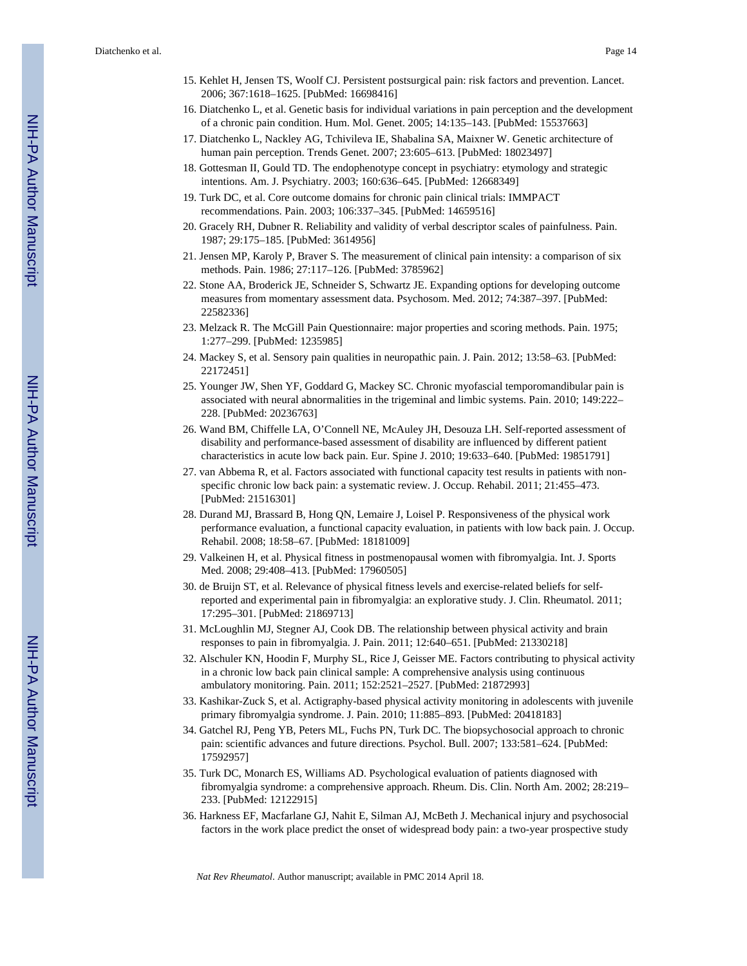- 15. Kehlet H, Jensen TS, Woolf CJ. Persistent postsurgical pain: risk factors and prevention. Lancet. 2006; 367:1618–1625. [PubMed: 16698416]
- 16. Diatchenko L, et al. Genetic basis for individual variations in pain perception and the development of a chronic pain condition. Hum. Mol. Genet. 2005; 14:135–143. [PubMed: 15537663]
- 17. Diatchenko L, Nackley AG, Tchivileva IE, Shabalina SA, Maixner W. Genetic architecture of human pain perception. Trends Genet. 2007; 23:605–613. [PubMed: 18023497]
- 18. Gottesman II, Gould TD. The endophenotype concept in psychiatry: etymology and strategic intentions. Am. J. Psychiatry. 2003; 160:636–645. [PubMed: 12668349]
- 19. Turk DC, et al. Core outcome domains for chronic pain clinical trials: IMMPACT recommendations. Pain. 2003; 106:337–345. [PubMed: 14659516]
- 20. Gracely RH, Dubner R. Reliability and validity of verbal descriptor scales of painfulness. Pain. 1987; 29:175–185. [PubMed: 3614956]
- 21. Jensen MP, Karoly P, Braver S. The measurement of clinical pain intensity: a comparison of six methods. Pain. 1986; 27:117–126. [PubMed: 3785962]
- 22. Stone AA, Broderick JE, Schneider S, Schwartz JE. Expanding options for developing outcome measures from momentary assessment data. Psychosom. Med. 2012; 74:387–397. [PubMed: 22582336]
- 23. Melzack R. The McGill Pain Questionnaire: major properties and scoring methods. Pain. 1975; 1:277–299. [PubMed: 1235985]
- 24. Mackey S, et al. Sensory pain qualities in neuropathic pain. J. Pain. 2012; 13:58–63. [PubMed: 22172451]
- 25. Younger JW, Shen YF, Goddard G, Mackey SC. Chronic myofascial temporomandibular pain is associated with neural abnormalities in the trigeminal and limbic systems. Pain. 2010; 149:222– 228. [PubMed: 20236763]
- 26. Wand BM, Chiffelle LA, O'Connell NE, McAuley JH, Desouza LH. Self-reported assessment of disability and performance-based assessment of disability are influenced by different patient characteristics in acute low back pain. Eur. Spine J. 2010; 19:633–640. [PubMed: 19851791]
- 27. van Abbema R, et al. Factors associated with functional capacity test results in patients with nonspecific chronic low back pain: a systematic review. J. Occup. Rehabil. 2011; 21:455–473. [PubMed: 21516301]
- 28. Durand MJ, Brassard B, Hong QN, Lemaire J, Loisel P. Responsiveness of the physical work performance evaluation, a functional capacity evaluation, in patients with low back pain. J. Occup. Rehabil. 2008; 18:58–67. [PubMed: 18181009]
- 29. Valkeinen H, et al. Physical fitness in postmenopausal women with fibromyalgia. Int. J. Sports Med. 2008; 29:408–413. [PubMed: 17960505]
- 30. de Bruijn ST, et al. Relevance of physical fitness levels and exercise-related beliefs for selfreported and experimental pain in fibromyalgia: an explorative study. J. Clin. Rheumatol. 2011; 17:295–301. [PubMed: 21869713]
- 31. McLoughlin MJ, Stegner AJ, Cook DB. The relationship between physical activity and brain responses to pain in fibromyalgia. J. Pain. 2011; 12:640–651. [PubMed: 21330218]
- 32. Alschuler KN, Hoodin F, Murphy SL, Rice J, Geisser ME. Factors contributing to physical activity in a chronic low back pain clinical sample: A comprehensive analysis using continuous ambulatory monitoring. Pain. 2011; 152:2521–2527. [PubMed: 21872993]
- 33. Kashikar-Zuck S, et al. Actigraphy-based physical activity monitoring in adolescents with juvenile primary fibromyalgia syndrome. J. Pain. 2010; 11:885–893. [PubMed: 20418183]
- 34. Gatchel RJ, Peng YB, Peters ML, Fuchs PN, Turk DC. The biopsychosocial approach to chronic pain: scientific advances and future directions. Psychol. Bull. 2007; 133:581–624. [PubMed: 17592957]
- 35. Turk DC, Monarch ES, Williams AD. Psychological evaluation of patients diagnosed with fibromyalgia syndrome: a comprehensive approach. Rheum. Dis. Clin. North Am. 2002; 28:219– 233. [PubMed: 12122915]
- 36. Harkness EF, Macfarlane GJ, Nahit E, Silman AJ, McBeth J. Mechanical injury and psychosocial factors in the work place predict the onset of widespread body pain: a two-year prospective study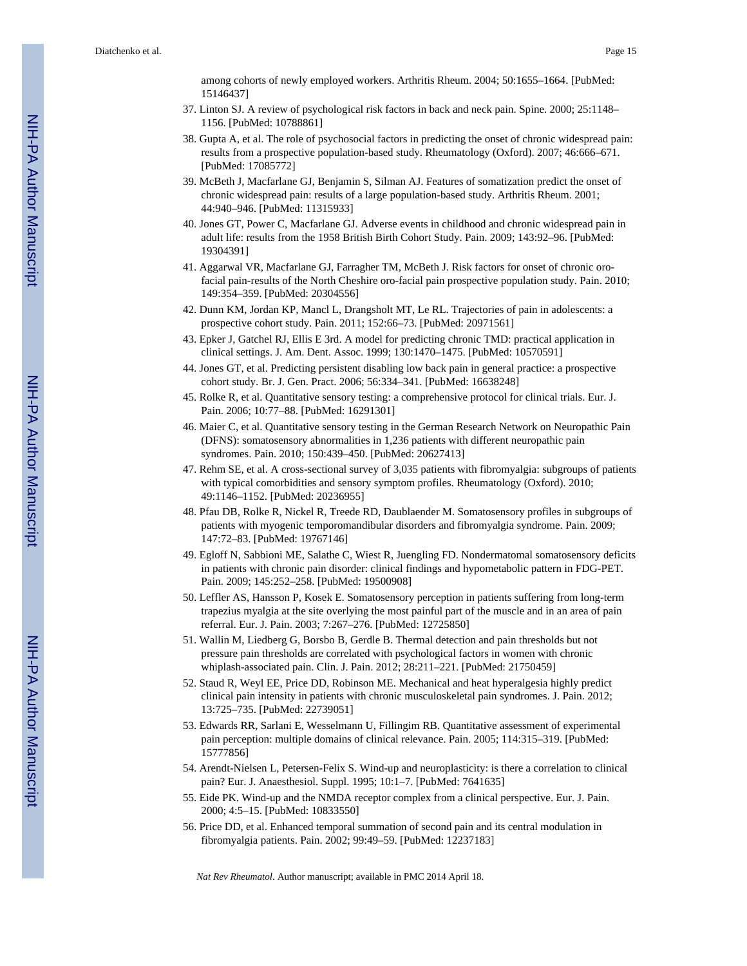among cohorts of newly employed workers. Arthritis Rheum. 2004; 50:1655–1664. [PubMed: 15146437]

- 37. Linton SJ. A review of psychological risk factors in back and neck pain. Spine. 2000; 25:1148– 1156. [PubMed: 10788861]
- 38. Gupta A, et al. The role of psychosocial factors in predicting the onset of chronic widespread pain: results from a prospective population-based study. Rheumatology (Oxford). 2007; 46:666–671. [PubMed: 17085772]
- 39. McBeth J, Macfarlane GJ, Benjamin S, Silman AJ. Features of somatization predict the onset of chronic widespread pain: results of a large population-based study. Arthritis Rheum. 2001; 44:940–946. [PubMed: 11315933]
- 40. Jones GT, Power C, Macfarlane GJ. Adverse events in childhood and chronic widespread pain in adult life: results from the 1958 British Birth Cohort Study. Pain. 2009; 143:92–96. [PubMed: 19304391]
- 41. Aggarwal VR, Macfarlane GJ, Farragher TM, McBeth J. Risk factors for onset of chronic orofacial pain-results of the North Cheshire oro-facial pain prospective population study. Pain. 2010; 149:354–359. [PubMed: 20304556]
- 42. Dunn KM, Jordan KP, Mancl L, Drangsholt MT, Le RL. Trajectories of pain in adolescents: a prospective cohort study. Pain. 2011; 152:66–73. [PubMed: 20971561]
- 43. Epker J, Gatchel RJ, Ellis E 3rd. A model for predicting chronic TMD: practical application in clinical settings. J. Am. Dent. Assoc. 1999; 130:1470–1475. [PubMed: 10570591]
- 44. Jones GT, et al. Predicting persistent disabling low back pain in general practice: a prospective cohort study. Br. J. Gen. Pract. 2006; 56:334–341. [PubMed: 16638248]
- 45. Rolke R, et al. Quantitative sensory testing: a comprehensive protocol for clinical trials. Eur. J. Pain. 2006; 10:77–88. [PubMed: 16291301]
- 46. Maier C, et al. Quantitative sensory testing in the German Research Network on Neuropathic Pain (DFNS): somatosensory abnormalities in 1,236 patients with different neuropathic pain syndromes. Pain. 2010; 150:439–450. [PubMed: 20627413]
- 47. Rehm SE, et al. A cross-sectional survey of 3,035 patients with fibromyalgia: subgroups of patients with typical comorbidities and sensory symptom profiles. Rheumatology (Oxford). 2010; 49:1146–1152. [PubMed: 20236955]
- 48. Pfau DB, Rolke R, Nickel R, Treede RD, Daublaender M. Somatosensory profiles in subgroups of patients with myogenic temporomandibular disorders and fibromyalgia syndrome. Pain. 2009; 147:72–83. [PubMed: 19767146]
- 49. Egloff N, Sabbioni ME, Salathe C, Wiest R, Juengling FD. Nondermatomal somatosensory deficits in patients with chronic pain disorder: clinical findings and hypometabolic pattern in FDG-PET. Pain. 2009; 145:252–258. [PubMed: 19500908]
- 50. Leffler AS, Hansson P, Kosek E. Somatosensory perception in patients suffering from long-term trapezius myalgia at the site overlying the most painful part of the muscle and in an area of pain referral. Eur. J. Pain. 2003; 7:267–276. [PubMed: 12725850]
- 51. Wallin M, Liedberg G, Borsbo B, Gerdle B. Thermal detection and pain thresholds but not pressure pain thresholds are correlated with psychological factors in women with chronic whiplash-associated pain. Clin. J. Pain. 2012; 28:211–221. [PubMed: 21750459]
- 52. Staud R, Weyl EE, Price DD, Robinson ME. Mechanical and heat hyperalgesia highly predict clinical pain intensity in patients with chronic musculoskeletal pain syndromes. J. Pain. 2012; 13:725–735. [PubMed: 22739051]
- 53. Edwards RR, Sarlani E, Wesselmann U, Fillingim RB. Quantitative assessment of experimental pain perception: multiple domains of clinical relevance. Pain. 2005; 114:315–319. [PubMed: 15777856]
- 54. Arendt-Nielsen L, Petersen-Felix S. Wind-up and neuroplasticity: is there a correlation to clinical pain? Eur. J. Anaesthesiol. Suppl. 1995; 10:1–7. [PubMed: 7641635]
- 55. Eide PK. Wind-up and the NMDA receptor complex from a clinical perspective. Eur. J. Pain. 2000; 4:5–15. [PubMed: 10833550]
- 56. Price DD, et al. Enhanced temporal summation of second pain and its central modulation in fibromyalgia patients. Pain. 2002; 99:49–59. [PubMed: 12237183]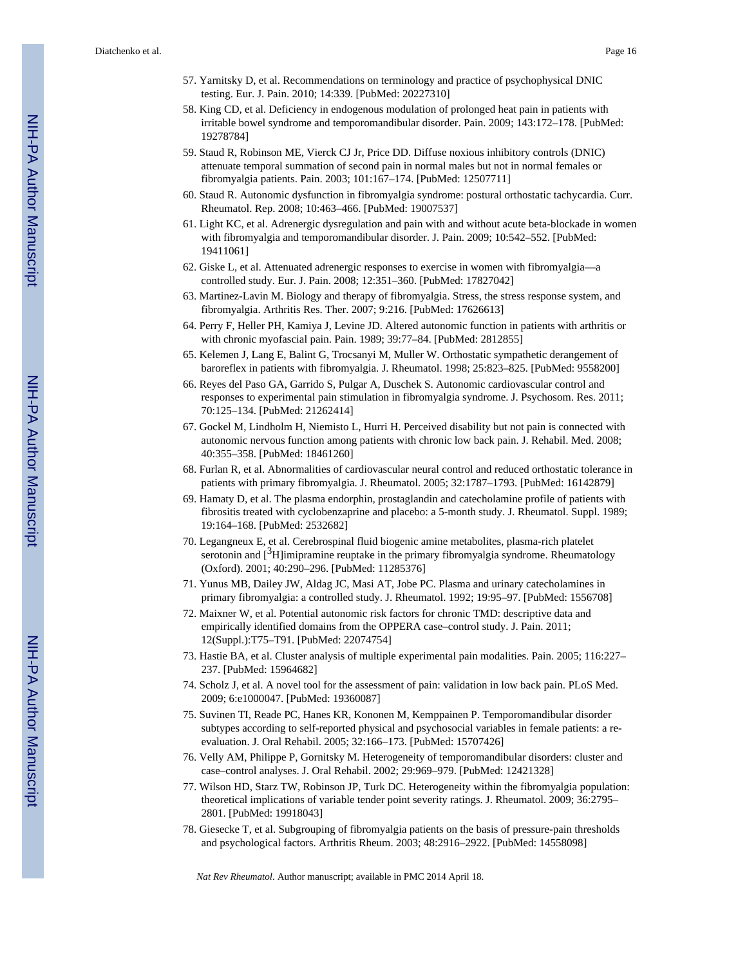- 57. Yarnitsky D, et al. Recommendations on terminology and practice of psychophysical DNIC testing. Eur. J. Pain. 2010; 14:339. [PubMed: 20227310]
- 58. King CD, et al. Deficiency in endogenous modulation of prolonged heat pain in patients with irritable bowel syndrome and temporomandibular disorder. Pain. 2009; 143:172–178. [PubMed: 19278784]
- 59. Staud R, Robinson ME, Vierck CJ Jr, Price DD. Diffuse noxious inhibitory controls (DNIC) attenuate temporal summation of second pain in normal males but not in normal females or fibromyalgia patients. Pain. 2003; 101:167–174. [PubMed: 12507711]
- 60. Staud R. Autonomic dysfunction in fibromyalgia syndrome: postural orthostatic tachycardia. Curr. Rheumatol. Rep. 2008; 10:463–466. [PubMed: 19007537]
- 61. Light KC, et al. Adrenergic dysregulation and pain with and without acute beta-blockade in women with fibromyalgia and temporomandibular disorder. J. Pain. 2009; 10:542–552. [PubMed: 19411061]
- 62. Giske L, et al. Attenuated adrenergic responses to exercise in women with fibromyalgia—a controlled study. Eur. J. Pain. 2008; 12:351–360. [PubMed: 17827042]
- 63. Martinez-Lavin M. Biology and therapy of fibromyalgia. Stress, the stress response system, and fibromyalgia. Arthritis Res. Ther. 2007; 9:216. [PubMed: 17626613]
- 64. Perry F, Heller PH, Kamiya J, Levine JD. Altered autonomic function in patients with arthritis or with chronic myofascial pain. Pain. 1989; 39:77–84. [PubMed: 2812855]
- 65. Kelemen J, Lang E, Balint G, Trocsanyi M, Muller W. Orthostatic sympathetic derangement of baroreflex in patients with fibromyalgia. J. Rheumatol. 1998; 25:823–825. [PubMed: 9558200]
- 66. Reyes del Paso GA, Garrido S, Pulgar A, Duschek S. Autonomic cardiovascular control and responses to experimental pain stimulation in fibromyalgia syndrome. J. Psychosom. Res. 2011; 70:125–134. [PubMed: 21262414]
- 67. Gockel M, Lindholm H, Niemisto L, Hurri H. Perceived disability but not pain is connected with autonomic nervous function among patients with chronic low back pain. J. Rehabil. Med. 2008; 40:355–358. [PubMed: 18461260]
- 68. Furlan R, et al. Abnormalities of cardiovascular neural control and reduced orthostatic tolerance in patients with primary fibromyalgia. J. Rheumatol. 2005; 32:1787–1793. [PubMed: 16142879]
- 69. Hamaty D, et al. The plasma endorphin, prostaglandin and catecholamine profile of patients with fibrositis treated with cyclobenzaprine and placebo: a 5-month study. J. Rheumatol. Suppl. 1989; 19:164–168. [PubMed: 2532682]
- 70. Legangneux E, et al. Cerebrospinal fluid biogenic amine metabolites, plasma-rich platelet serotonin and  $[^3H]$ imipramine reuptake in the primary fibromyalgia syndrome. Rheumatology (Oxford). 2001; 40:290–296. [PubMed: 11285376]
- 71. Yunus MB, Dailey JW, Aldag JC, Masi AT, Jobe PC. Plasma and urinary catecholamines in primary fibromyalgia: a controlled study. J. Rheumatol. 1992; 19:95–97. [PubMed: 1556708]
- 72. Maixner W, et al. Potential autonomic risk factors for chronic TMD: descriptive data and empirically identified domains from the OPPERA case–control study. J. Pain. 2011; 12(Suppl.):T75–T91. [PubMed: 22074754]
- 73. Hastie BA, et al. Cluster analysis of multiple experimental pain modalities. Pain. 2005; 116:227– 237. [PubMed: 15964682]
- 74. Scholz J, et al. A novel tool for the assessment of pain: validation in low back pain. PLoS Med. 2009; 6:e1000047. [PubMed: 19360087]
- 75. Suvinen TI, Reade PC, Hanes KR, Kononen M, Kemppainen P. Temporomandibular disorder subtypes according to self-reported physical and psychosocial variables in female patients: a reevaluation. J. Oral Rehabil. 2005; 32:166–173. [PubMed: 15707426]
- 76. Velly AM, Philippe P, Gornitsky M. Heterogeneity of temporomandibular disorders: cluster and case–control analyses. J. Oral Rehabil. 2002; 29:969–979. [PubMed: 12421328]
- 77. Wilson HD, Starz TW, Robinson JP, Turk DC. Heterogeneity within the fibromyalgia population: theoretical implications of variable tender point severity ratings. J. Rheumatol. 2009; 36:2795– 2801. [PubMed: 19918043]
- 78. Giesecke T, et al. Subgrouping of fibromyalgia patients on the basis of pressure-pain thresholds and psychological factors. Arthritis Rheum. 2003; 48:2916–2922. [PubMed: 14558098]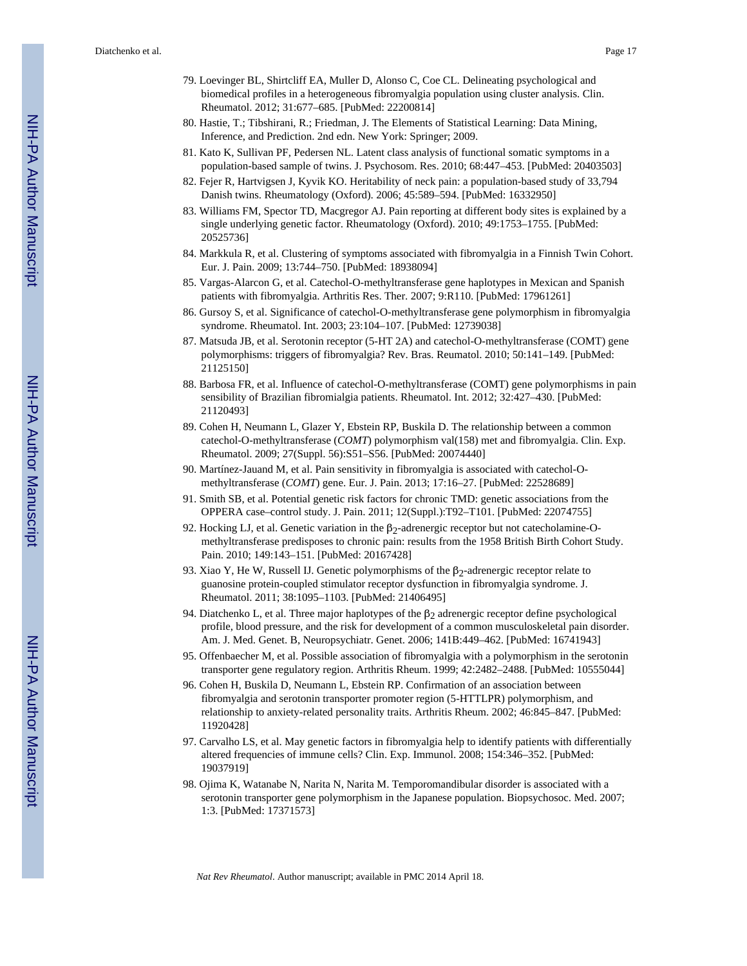- 79. Loevinger BL, Shirtcliff EA, Muller D, Alonso C, Coe CL. Delineating psychological and biomedical profiles in a heterogeneous fibromyalgia population using cluster analysis. Clin. Rheumatol. 2012; 31:677–685. [PubMed: 22200814]
- 80. Hastie, T.; Tibshirani, R.; Friedman, J. The Elements of Statistical Learning: Data Mining, Inference, and Prediction. 2nd edn. New York: Springer; 2009.
- 81. Kato K, Sullivan PF, Pedersen NL. Latent class analysis of functional somatic symptoms in a population-based sample of twins. J. Psychosom. Res. 2010; 68:447–453. [PubMed: 20403503]
- 82. Fejer R, Hartvigsen J, Kyvik KO. Heritability of neck pain: a population-based study of 33,794 Danish twins. Rheumatology (Oxford). 2006; 45:589–594. [PubMed: 16332950]
- 83. Williams FM, Spector TD, Macgregor AJ. Pain reporting at different body sites is explained by a single underlying genetic factor. Rheumatology (Oxford). 2010; 49:1753–1755. [PubMed: 20525736]
- 84. Markkula R, et al. Clustering of symptoms associated with fibromyalgia in a Finnish Twin Cohort. Eur. J. Pain. 2009; 13:744–750. [PubMed: 18938094]
- 85. Vargas-Alarcon G, et al. Catechol-O-methyltransferase gene haplotypes in Mexican and Spanish patients with fibromyalgia. Arthritis Res. Ther. 2007; 9:R110. [PubMed: 17961261]
- 86. Gursoy S, et al. Significance of catechol-O-methyltransferase gene polymorphism in fibromyalgia syndrome. Rheumatol. Int. 2003; 23:104–107. [PubMed: 12739038]
- 87. Matsuda JB, et al. Serotonin receptor (5-HT 2A) and catechol-O-methyltransferase (COMT) gene polymorphisms: triggers of fibromyalgia? Rev. Bras. Reumatol. 2010; 50:141–149. [PubMed: 21125150]
- 88. Barbosa FR, et al. Influence of catechol-O-methyltransferase (COMT) gene polymorphisms in pain sensibility of Brazilian fibromialgia patients. Rheumatol. Int. 2012; 32:427–430. [PubMed: 21120493]
- 89. Cohen H, Neumann L, Glazer Y, Ebstein RP, Buskila D. The relationship between a common catechol-O-methyltransferase (*COMT*) polymorphism val(158) met and fibromyalgia. Clin. Exp. Rheumatol. 2009; 27(Suppl. 56):S51–S56. [PubMed: 20074440]
- 90. Martínez-Jauand M, et al. Pain sensitivity in fibromyalgia is associated with catechol-Omethyltransferase (*COMT*) gene. Eur. J. Pain. 2013; 17:16–27. [PubMed: 22528689]
- 91. Smith SB, et al. Potential genetic risk factors for chronic TMD: genetic associations from the OPPERA case–control study. J. Pain. 2011; 12(Suppl.):T92–T101. [PubMed: 22074755]
- 92. Hocking LJ, et al. Genetic variation in the  $β_2$ -adrenergic receptor but not catecholamine-Omethyltransferase predisposes to chronic pain: results from the 1958 British Birth Cohort Study. Pain. 2010; 149:143–151. [PubMed: 20167428]
- 93. Xiao Y, He W, Russell IJ. Genetic polymorphisms of the  $β_2$ -adrenergic receptor relate to guanosine protein-coupled stimulator receptor dysfunction in fibromyalgia syndrome. J. Rheumatol. 2011; 38:1095–1103. [PubMed: 21406495]
- 94. Diatchenko L, et al. Three major haplotypes of the  $\beta_2$  adrenergic receptor define psychological profile, blood pressure, and the risk for development of a common musculoskeletal pain disorder. Am. J. Med. Genet. B, Neuropsychiatr. Genet. 2006; 141B:449–462. [PubMed: 16741943]
- 95. Offenbaecher M, et al. Possible association of fibromyalgia with a polymorphism in the serotonin transporter gene regulatory region. Arthritis Rheum. 1999; 42:2482–2488. [PubMed: 10555044]
- 96. Cohen H, Buskila D, Neumann L, Ebstein RP. Confirmation of an association between fibromyalgia and serotonin transporter promoter region (5-HTTLPR) polymorphism, and relationship to anxiety-related personality traits. Arthritis Rheum. 2002; 46:845–847. [PubMed: 11920428]
- 97. Carvalho LS, et al. May genetic factors in fibromyalgia help to identify patients with differentially altered frequencies of immune cells? Clin. Exp. Immunol. 2008; 154:346–352. [PubMed: 19037919]
- 98. Ojima K, Watanabe N, Narita N, Narita M. Temporomandibular disorder is associated with a serotonin transporter gene polymorphism in the Japanese population. Biopsychosoc. Med. 2007; 1:3. [PubMed: 17371573]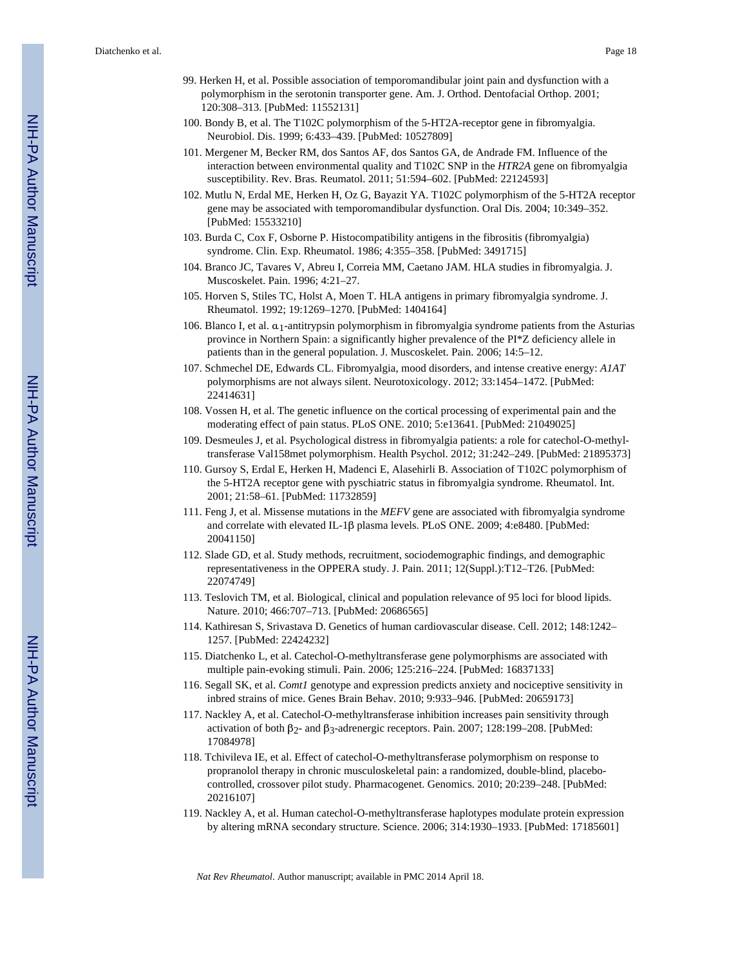- 99. Herken H, et al. Possible association of temporomandibular joint pain and dysfunction with a polymorphism in the serotonin transporter gene. Am. J. Orthod. Dentofacial Orthop. 2001; 120:308–313. [PubMed: 11552131]
- 100. Bondy B, et al. The T102C polymorphism of the 5-HT2A-receptor gene in fibromyalgia. Neurobiol. Dis. 1999; 6:433–439. [PubMed: 10527809]
- 101. Mergener M, Becker RM, dos Santos AF, dos Santos GA, de Andrade FM. Influence of the interaction between environmental quality and T102C SNP in the *HTR2A* gene on fibromyalgia susceptibility. Rev. Bras. Reumatol. 2011; 51:594–602. [PubMed: 22124593]
- 102. Mutlu N, Erdal ME, Herken H, Oz G, Bayazit YA. T102C polymorphism of the 5-HT2A receptor gene may be associated with temporomandibular dysfunction. Oral Dis. 2004; 10:349–352. [PubMed: 15533210]
- 103. Burda C, Cox F, Osborne P. Histocompatibility antigens in the fibrositis (fibromyalgia) syndrome. Clin. Exp. Rheumatol. 1986; 4:355–358. [PubMed: 3491715]
- 104. Branco JC, Tavares V, Abreu I, Correia MM, Caetano JAM. HLA studies in fibromyalgia. J. Muscoskelet. Pain. 1996; 4:21–27.
- 105. Horven S, Stiles TC, Holst A, Moen T. HLA antigens in primary fibromyalgia syndrome. J. Rheumatol. 1992; 19:1269–1270. [PubMed: 1404164]
- 106. Blanco I, et al. α1-antitrypsin polymorphism in fibromyalgia syndrome patients from the Asturias province in Northern Spain: a significantly higher prevalence of the PI\*Z deficiency allele in patients than in the general population. J. Muscoskelet. Pain. 2006; 14:5–12.
- 107. Schmechel DE, Edwards CL. Fibromyalgia, mood disorders, and intense creative energy: *A1AT* polymorphisms are not always silent. Neurotoxicology. 2012; 33:1454–1472. [PubMed: 22414631]
- 108. Vossen H, et al. The genetic influence on the cortical processing of experimental pain and the moderating effect of pain status. PLoS ONE. 2010; 5:e13641. [PubMed: 21049025]
- 109. Desmeules J, et al. Psychological distress in fibromyalgia patients: a role for catechol-O-methyltransferase Val158met polymorphism. Health Psychol. 2012; 31:242–249. [PubMed: 21895373]
- 110. Gursoy S, Erdal E, Herken H, Madenci E, Alasehirli B. Association of T102C polymorphism of the 5-HT2A receptor gene with pyschiatric status in fibromyalgia syndrome. Rheumatol. Int. 2001; 21:58–61. [PubMed: 11732859]
- 111. Feng J, et al. Missense mutations in the *MEFV* gene are associated with fibromyalgia syndrome and correlate with elevated IL-1β plasma levels. PLoS ONE. 2009; 4:e8480. [PubMed: 20041150]
- 112. Slade GD, et al. Study methods, recruitment, sociodemographic findings, and demographic representativeness in the OPPERA study. J. Pain. 2011; 12(Suppl.):T12–T26. [PubMed: 22074749]
- 113. Teslovich TM, et al. Biological, clinical and population relevance of 95 loci for blood lipids. Nature. 2010; 466:707–713. [PubMed: 20686565]
- 114. Kathiresan S, Srivastava D. Genetics of human cardiovascular disease. Cell. 2012; 148:1242– 1257. [PubMed: 22424232]
- 115. Diatchenko L, et al. Catechol-O-methyltransferase gene polymorphisms are associated with multiple pain-evoking stimuli. Pain. 2006; 125:216–224. [PubMed: 16837133]
- 116. Segall SK, et al. *Comt1* genotype and expression predicts anxiety and nociceptive sensitivity in inbred strains of mice. Genes Brain Behav. 2010; 9:933–946. [PubMed: 20659173]
- 117. Nackley A, et al. Catechol-O-methyltransferase inhibition increases pain sensitivity through activation of both  $β_2$ - and  $β_3$ -adrenergic receptors. Pain. 2007; 128:199–208. [PubMed: 17084978]
- 118. Tchivileva IE, et al. Effect of catechol-O-methyltransferase polymorphism on response to propranolol therapy in chronic musculoskeletal pain: a randomized, double-blind, placebocontrolled, crossover pilot study. Pharmacogenet. Genomics. 2010; 20:239–248. [PubMed: 20216107]
- 119. Nackley A, et al. Human catechol-O-methyltransferase haplotypes modulate protein expression by altering mRNA secondary structure. Science. 2006; 314:1930–1933. [PubMed: 17185601]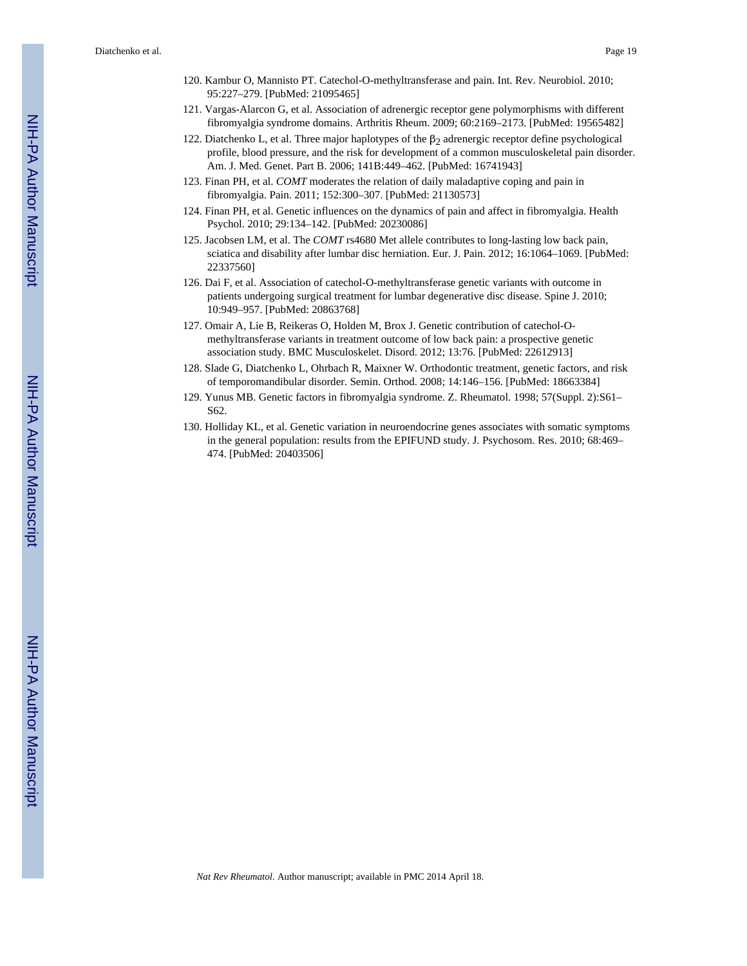- 120. Kambur O, Mannisto PT. Catechol-O-methyltransferase and pain. Int. Rev. Neurobiol. 2010; 95:227–279. [PubMed: 21095465]
- 121. Vargas-Alarcon G, et al. Association of adrenergic receptor gene polymorphisms with different fibromyalgia syndrome domains. Arthritis Rheum. 2009; 60:2169–2173. [PubMed: 19565482]
- 122. Diatchenko L, et al. Three major haplotypes of the  $β<sub>2</sub>$  adrenergic receptor define psychological profile, blood pressure, and the risk for development of a common musculoskeletal pain disorder. Am. J. Med. Genet. Part B. 2006; 141B:449–462. [PubMed: 16741943]
- 123. Finan PH, et al. *COMT* moderates the relation of daily maladaptive coping and pain in fibromyalgia. Pain. 2011; 152:300–307. [PubMed: 21130573]
- 124. Finan PH, et al. Genetic influences on the dynamics of pain and affect in fibromyalgia. Health Psychol. 2010; 29:134–142. [PubMed: 20230086]
- 125. Jacobsen LM, et al. The *COMT* rs4680 Met allele contributes to long-lasting low back pain, sciatica and disability after lumbar disc herniation. Eur. J. Pain. 2012; 16:1064–1069. [PubMed: 22337560]
- 126. Dai F, et al. Association of catechol-O-methyltransferase genetic variants with outcome in patients undergoing surgical treatment for lumbar degenerative disc disease. Spine J. 2010; 10:949–957. [PubMed: 20863768]
- 127. Omair A, Lie B, Reikeras O, Holden M, Brox J. Genetic contribution of catechol-Omethyltransferase variants in treatment outcome of low back pain: a prospective genetic association study. BMC Musculoskelet. Disord. 2012; 13:76. [PubMed: 22612913]
- 128. Slade G, Diatchenko L, Ohrbach R, Maixner W. Orthodontic treatment, genetic factors, and risk of temporomandibular disorder. Semin. Orthod. 2008; 14:146–156. [PubMed: 18663384]
- 129. Yunus MB. Genetic factors in fibromyalgia syndrome. Z. Rheumatol. 1998; 57(Suppl. 2):S61– S62.
- 130. Holliday KL, et al. Genetic variation in neuroendocrine genes associates with somatic symptoms in the general population: results from the EPIFUND study. J. Psychosom. Res. 2010; 68:469– 474. [PubMed: 20403506]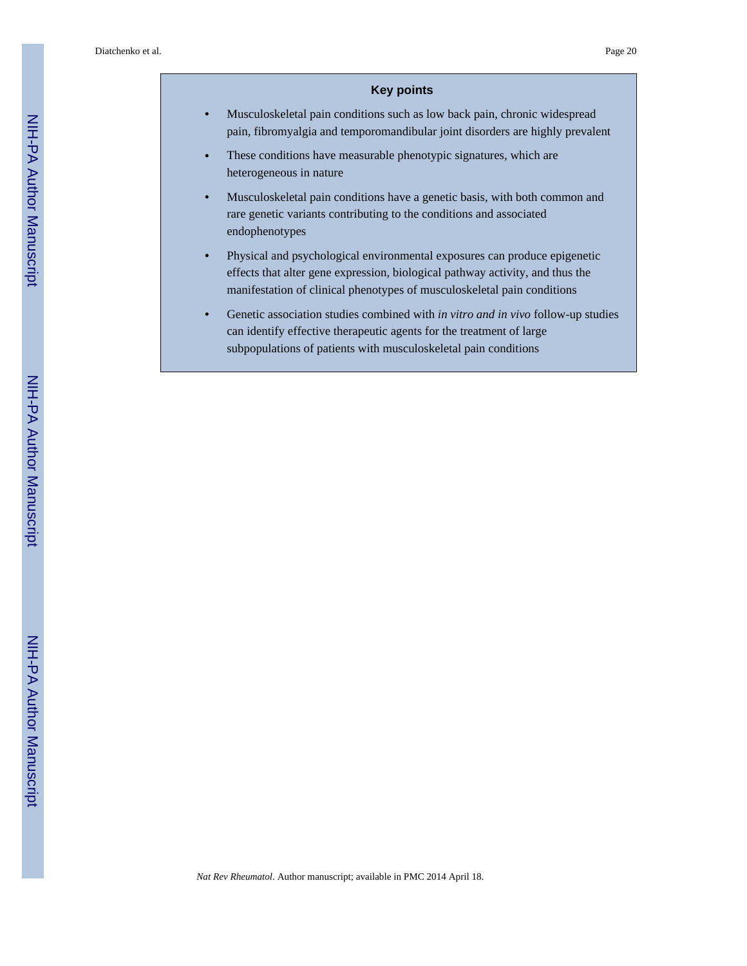#### **Key points**

- **•** Musculoskeletal pain conditions such as low back pain, chronic widespread pain, fibromyalgia and temporomandibular joint disorders are highly prevalent
- **•** These conditions have measurable phenotypic signatures, which are heterogeneous in nature
- **•** Musculoskeletal pain conditions have a genetic basis, with both common and rare genetic variants contributing to the conditions and associated endophenotypes
- **•** Physical and psychological environmental exposures can produce epigenetic effects that alter gene expression, biological pathway activity, and thus the manifestation of clinical phenotypes of musculoskeletal pain conditions
- **•** Genetic association studies combined with *in vitro and in vivo* follow-up studies can identify effective therapeutic agents for the treatment of large subpopulations of patients with musculoskeletal pain conditions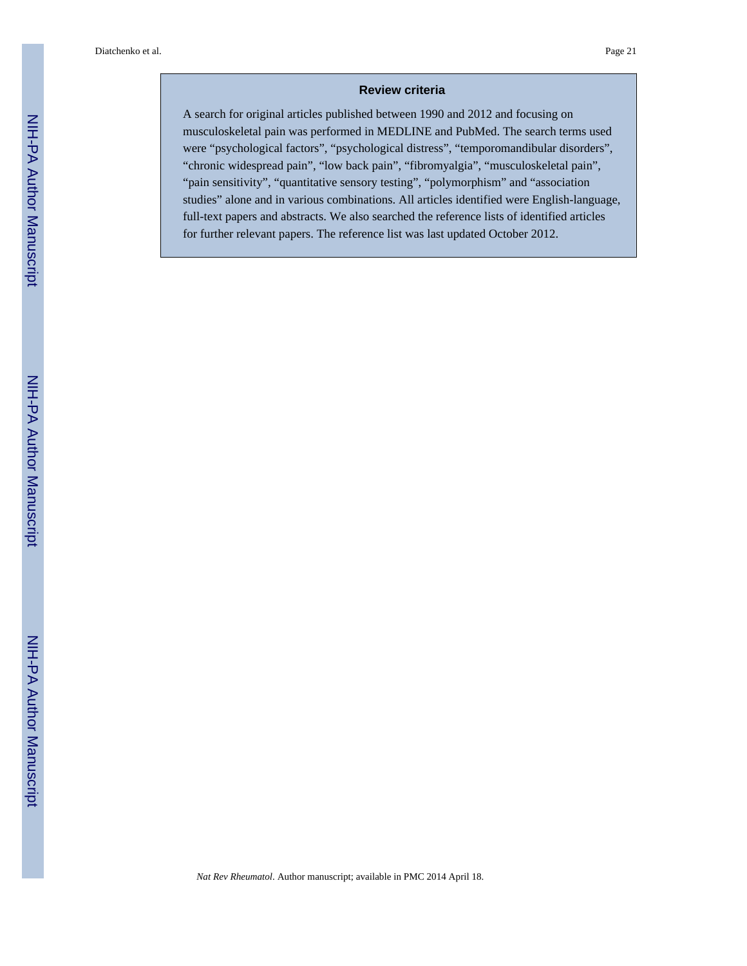#### **Review criteria**

A search for original articles published between 1990 and 2012 and focusing on musculoskeletal pain was performed in MEDLINE and PubMed. The search terms used were "psychological factors", "psychological distress", "temporomandibular disorders", "chronic widespread pain", "low back pain", "fibromyalgia", "musculoskeletal pain", "pain sensitivity", "quantitative sensory testing", "polymorphism" and "association studies" alone and in various combinations. All articles identified were English-language, full-text papers and abstracts. We also searched the reference lists of identified articles for further relevant papers. The reference list was last updated October 2012.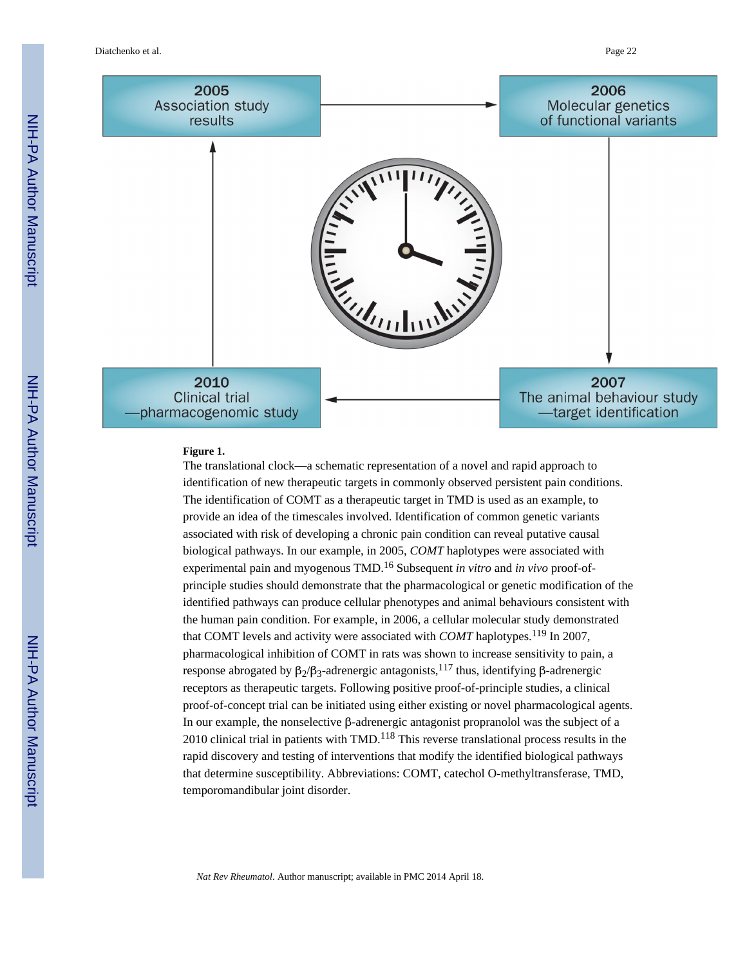Diatchenko et al. Page 22



#### **Figure 1.**

The translational clock—a schematic representation of a novel and rapid approach to identification of new therapeutic targets in commonly observed persistent pain conditions. The identification of COMT as a therapeutic target in TMD is used as an example, to provide an idea of the timescales involved. Identification of common genetic variants associated with risk of developing a chronic pain condition can reveal putative causal biological pathways. In our example, in 2005, *COMT* haplotypes were associated with experimental pain and myogenous TMD.16 Subsequent *in vitro* and *in vivo* proof-ofprinciple studies should demonstrate that the pharmacological or genetic modification of the identified pathways can produce cellular phenotypes and animal behaviours consistent with the human pain condition. For example, in 2006, a cellular molecular study demonstrated that COMT levels and activity were associated with *COMT* haplotypes.<sup>119</sup> In 2007, pharmacological inhibition of COMT in rats was shown to increase sensitivity to pain, a response abrogated by β<sub>2</sub>/β<sub>3</sub>-adrenergic antagonists,<sup>117</sup> thus, identifying β-adrenergic receptors as therapeutic targets. Following positive proof-of-principle studies, a clinical proof-of-concept trial can be initiated using either existing or novel pharmacological agents. In our example, the nonselective β-adrenergic antagonist propranolol was the subject of a 2010 clinical trial in patients with  $TMD<sup>118</sup>$  This reverse translational process results in the rapid discovery and testing of interventions that modify the identified biological pathways that determine susceptibility. Abbreviations: COMT, catechol O-methyltransferase, TMD, temporomandibular joint disorder.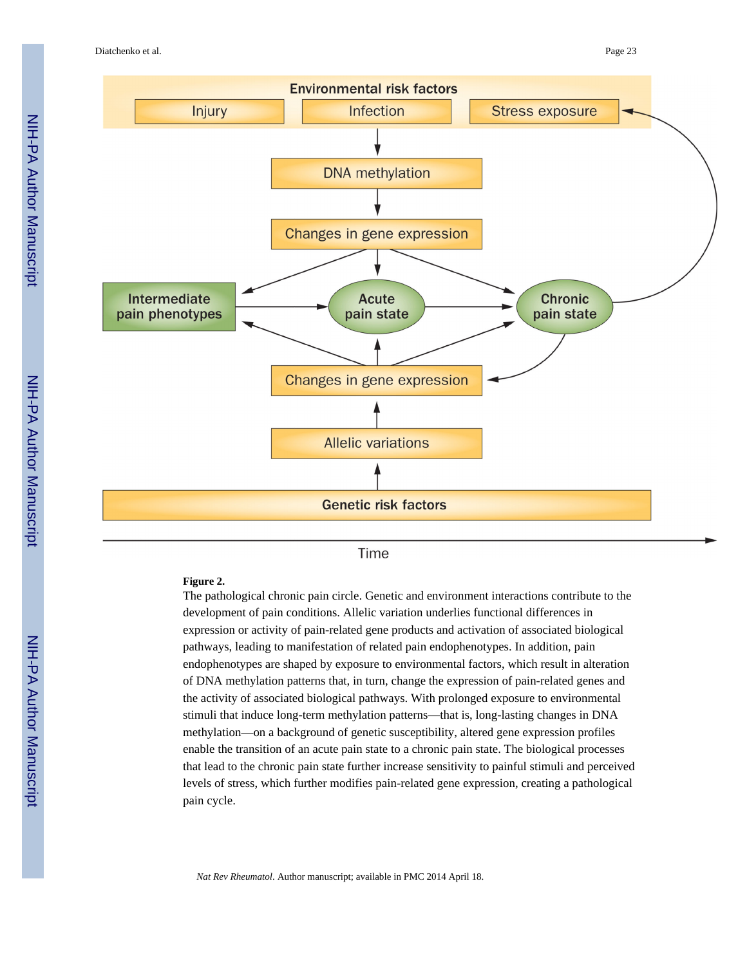Diatchenko et al. Page 23



Time

#### **Figure 2.**

The pathological chronic pain circle. Genetic and environment interactions contribute to the development of pain conditions. Allelic variation underlies functional differences in expression or activity of pain-related gene products and activation of associated biological pathways, leading to manifestation of related pain endophenotypes. In addition, pain endophenotypes are shaped by exposure to environmental factors, which result in alteration of DNA methylation patterns that, in turn, change the expression of pain-related genes and the activity of associated biological pathways. With prolonged exposure to environmental stimuli that induce long-term methylation patterns—that is, long-lasting changes in DNA methylation—on a background of genetic susceptibility, altered gene expression profiles enable the transition of an acute pain state to a chronic pain state. The biological processes that lead to the chronic pain state further increase sensitivity to painful stimuli and perceived levels of stress, which further modifies pain-related gene expression, creating a pathological pain cycle.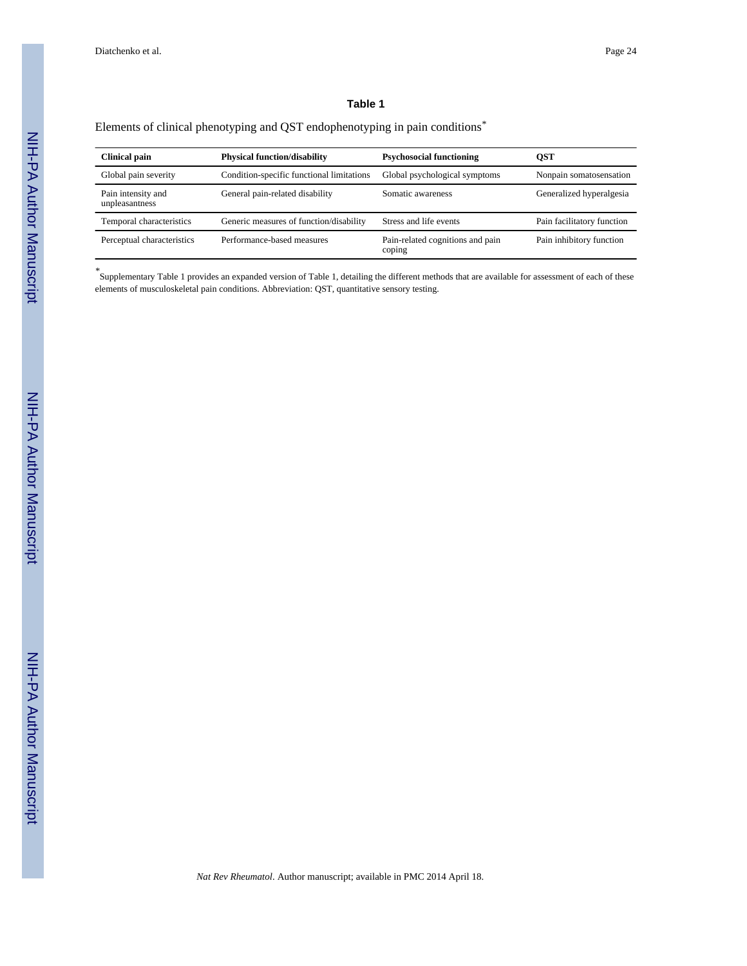#### **Table 1**

#### Elements of clinical phenotyping and QST endophenotyping in pain conditions*\**

| <b>Clinical pain</b>                 | <b>Physical function/disability</b>       | <b>Psychosocial functioning</b>            | <b>QST</b>                 |
|--------------------------------------|-------------------------------------------|--------------------------------------------|----------------------------|
| Global pain severity                 | Condition-specific functional limitations | Global psychological symptoms              | Nonpain somatosensation    |
| Pain intensity and<br>unpleasantness | General pain-related disability           | Somatic awareness                          | Generalized hyperalgesia   |
| Temporal characteristics             | Generic measures of function/disability   | Stress and life events                     | Pain facilitatory function |
| Perceptual characteristics           | Performance-based measures                | Pain-related cognitions and pain<br>coping | Pain inhibitory function   |

*\** Supplementary Table 1 provides an expanded version of Table 1, detailing the different methods that are available for assessment of each of these elements of musculoskeletal pain conditions. Abbreviation: QST, quantitative sensory testing.